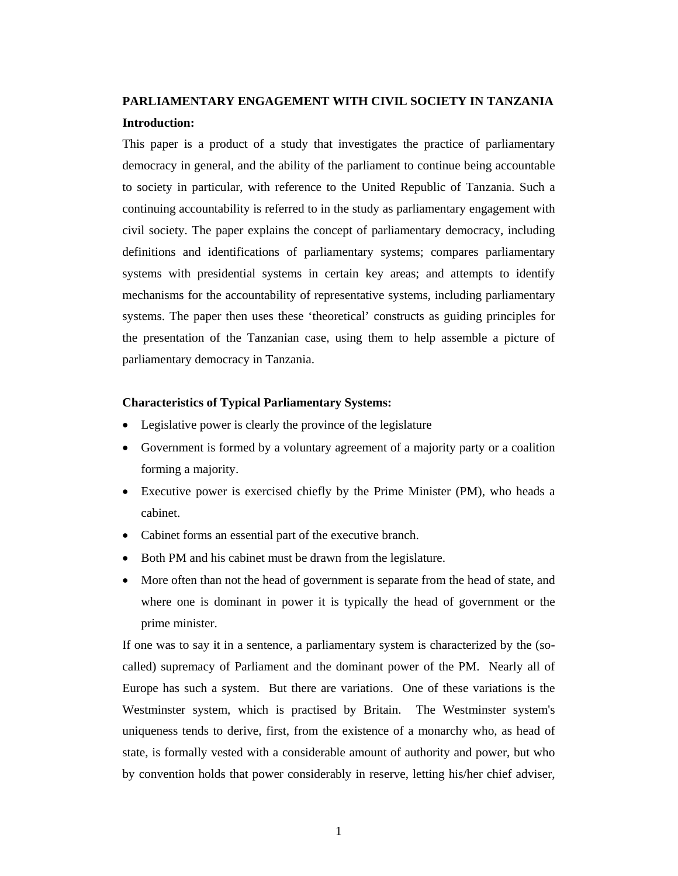## **PARLIAMENTARY ENGAGEMENT WITH CIVIL SOCIETY IN TANZANIA Introduction:**

This paper is a product of a study that investigates the practice of parliamentary democracy in general, and the ability of the parliament to continue being accountable to society in particular, with reference to the United Republic of Tanzania. Such a continuing accountability is referred to in the study as parliamentary engagement with civil society. The paper explains the concept of parliamentary democracy, including definitions and identifications of parliamentary systems; compares parliamentary systems with presidential systems in certain key areas; and attempts to identify mechanisms for the accountability of representative systems, including parliamentary systems. The paper then uses these 'theoretical' constructs as guiding principles for the presentation of the Tanzanian case, using them to help assemble a picture of parliamentary democracy in Tanzania.

#### **Characteristics of Typical Parliamentary Systems:**

- Legislative power is clearly the province of the legislature
- Government is formed by a voluntary agreement of a majority party or a coalition forming a majority.
- Executive power is exercised chiefly by the Prime Minister (PM), who heads a cabinet.
- Cabinet forms an essential part of the executive branch.
- Both PM and his cabinet must be drawn from the legislature.
- More often than not the head of government is separate from the head of state, and where one is dominant in power it is typically the head of government or the prime minister.

If one was to say it in a sentence, a parliamentary system is characterized by the (socalled) supremacy of Parliament and the dominant power of the PM. Nearly all of Europe has such a system. But there are variations. One of these variations is the Westminster system, which is practised by Britain. The Westminster system's uniqueness tends to derive, first, from the existence of a monarchy who, as head of state, is formally vested with a considerable amount of authority and power, but who by convention holds that power considerably in reserve, letting his/her chief adviser,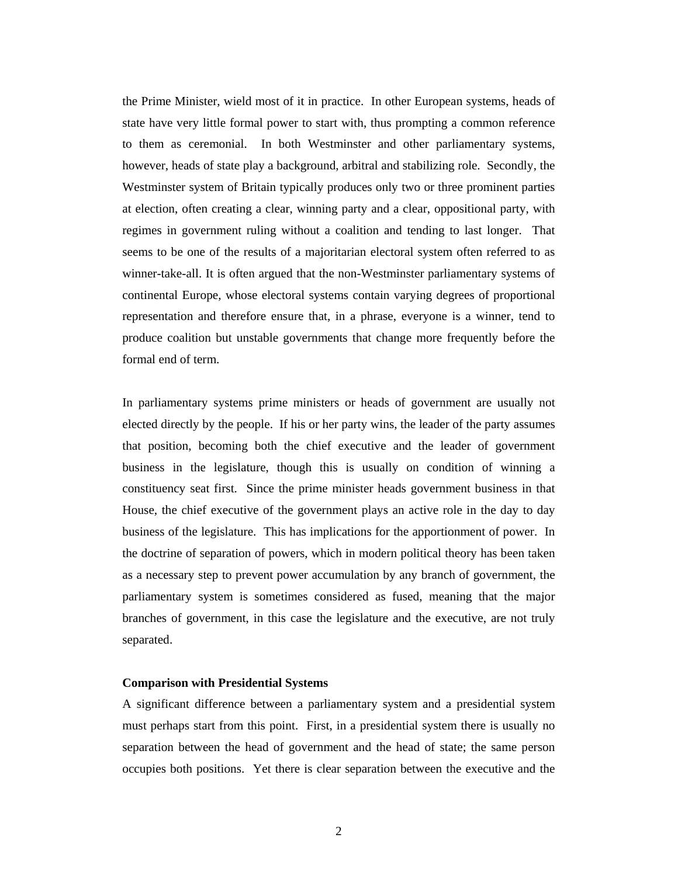the Prime Minister, wield most of it in practice. In other European systems, heads of state have very little formal power to start with, thus prompting a common reference to them as ceremonial. In both Westminster and other parliamentary systems, however, heads of state play a background, arbitral and stabilizing role. Secondly, the Westminster system of Britain typically produces only two or three prominent parties at election, often creating a clear, winning party and a clear, oppositional party, with regimes in government ruling without a coalition and tending to last longer. That seems to be one of the results of a majoritarian electoral system often referred to as winner-take-all. It is often argued that the non-Westminster parliamentary systems of continental Europe, whose electoral systems contain varying degrees of proportional representation and therefore ensure that, in a phrase, everyone is a winner, tend to produce coalition but unstable governments that change more frequently before the formal end of term.

In parliamentary systems prime ministers or heads of government are usually not elected directly by the people. If his or her party wins, the leader of the party assumes that position, becoming both the chief executive and the leader of government business in the legislature, though this is usually on condition of winning a constituency seat first. Since the prime minister heads government business in that House, the chief executive of the government plays an active role in the day to day business of the legislature. This has implications for the apportionment of power. In the doctrine of separation of powers, which in modern political theory has been taken as a necessary step to prevent power accumulation by any branch of government, the parliamentary system is sometimes considered as fused, meaning that the major branches of government, in this case the legislature and the executive, are not truly separated.

#### **Comparison with Presidential Systems**

A significant difference between a parliamentary system and a presidential system must perhaps start from this point. First, in a presidential system there is usually no separation between the head of government and the head of state; the same person occupies both positions. Yet there is clear separation between the executive and the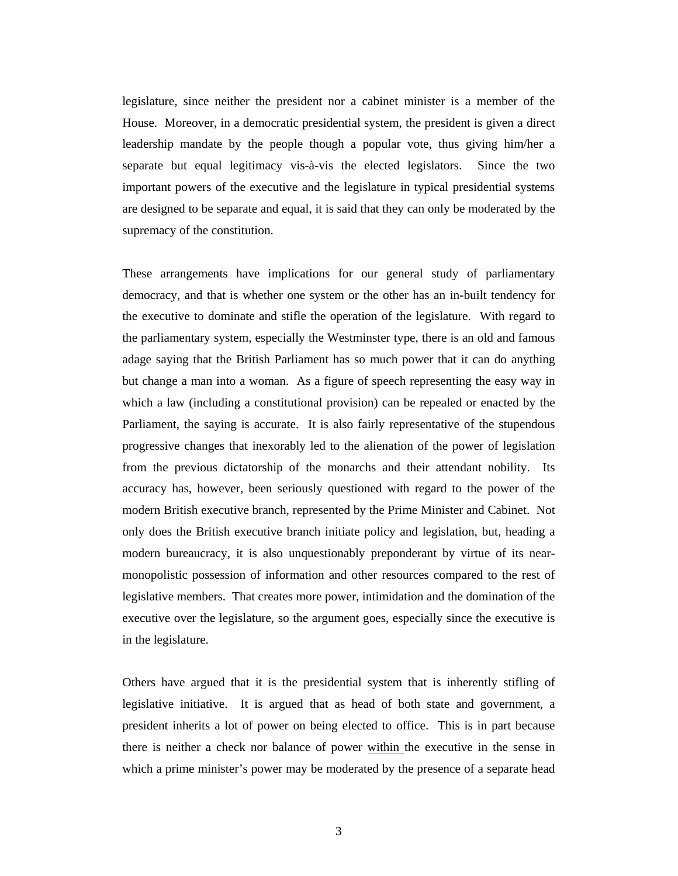legislature, since neither the president nor a cabinet minister is a member of the House. Moreover, in a democratic presidential system, the president is given a direct leadership mandate by the people though a popular vote, thus giving him/her a separate but equal legitimacy vis-à-vis the elected legislators. Since the two important powers of the executive and the legislature in typical presidential systems are designed to be separate and equal, it is said that they can only be moderated by the supremacy of the constitution.

These arrangements have implications for our general study of parliamentary democracy, and that is whether one system or the other has an in-built tendency for the executive to dominate and stifle the operation of the legislature. With regard to the parliamentary system, especially the Westminster type, there is an old and famous adage saying that the British Parliament has so much power that it can do anything but change a man into a woman. As a figure of speech representing the easy way in which a law (including a constitutional provision) can be repealed or enacted by the Parliament, the saying is accurate. It is also fairly representative of the stupendous progressive changes that inexorably led to the alienation of the power of legislation from the previous dictatorship of the monarchs and their attendant nobility. Its accuracy has, however, been seriously questioned with regard to the power of the modern British executive branch, represented by the Prime Minister and Cabinet. Not only does the British executive branch initiate policy and legislation, but, heading a modern bureaucracy, it is also unquestionably preponderant by virtue of its nearmonopolistic possession of information and other resources compared to the rest of legislative members. That creates more power, intimidation and the domination of the executive over the legislature, so the argument goes, especially since the executive is in the legislature.

Others have argued that it is the presidential system that is inherently stifling of legislative initiative. It is argued that as head of both state and government, a president inherits a lot of power on being elected to office. This is in part because there is neither a check nor balance of power within the executive in the sense in which a prime minister's power may be moderated by the presence of a separate head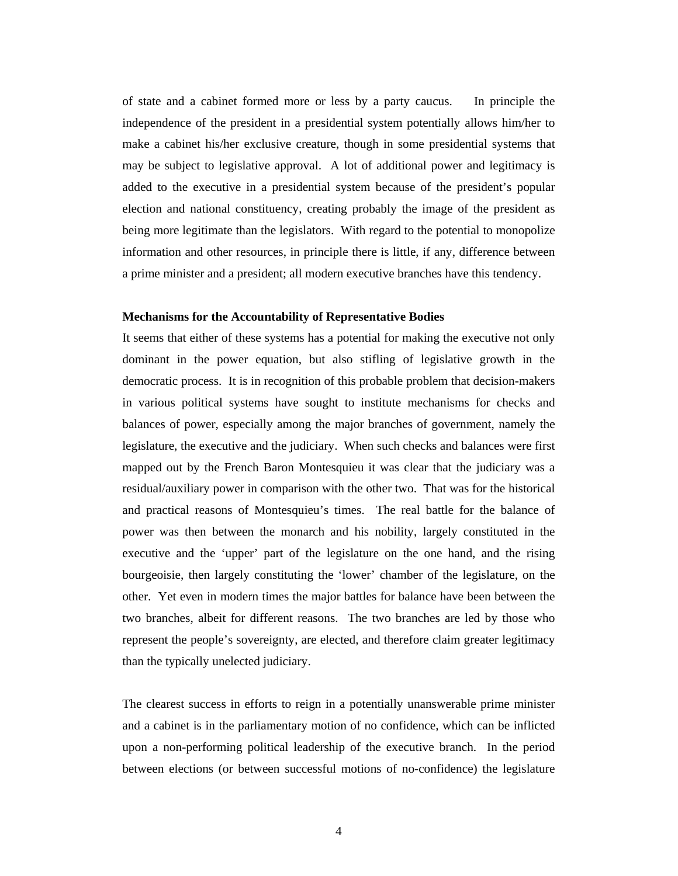of state and a cabinet formed more or less by a party caucus. In principle the independence of the president in a presidential system potentially allows him/her to make a cabinet his/her exclusive creature, though in some presidential systems that may be subject to legislative approval. A lot of additional power and legitimacy is added to the executive in a presidential system because of the president's popular election and national constituency, creating probably the image of the president as being more legitimate than the legislators. With regard to the potential to monopolize information and other resources, in principle there is little, if any, difference between a prime minister and a president; all modern executive branches have this tendency.

#### **Mechanisms for the Accountability of Representative Bodies**

It seems that either of these systems has a potential for making the executive not only dominant in the power equation, but also stifling of legislative growth in the democratic process. It is in recognition of this probable problem that decision-makers in various political systems have sought to institute mechanisms for checks and balances of power, especially among the major branches of government, namely the legislature, the executive and the judiciary. When such checks and balances were first mapped out by the French Baron Montesquieu it was clear that the judiciary was a residual/auxiliary power in comparison with the other two. That was for the historical and practical reasons of Montesquieu's times. The real battle for the balance of power was then between the monarch and his nobility, largely constituted in the executive and the 'upper' part of the legislature on the one hand, and the rising bourgeoisie, then largely constituting the 'lower' chamber of the legislature, on the other. Yet even in modern times the major battles for balance have been between the two branches, albeit for different reasons. The two branches are led by those who represent the people's sovereignty, are elected, and therefore claim greater legitimacy than the typically unelected judiciary.

The clearest success in efforts to reign in a potentially unanswerable prime minister and a cabinet is in the parliamentary motion of no confidence, which can be inflicted upon a non-performing political leadership of the executive branch. In the period between elections (or between successful motions of no-confidence) the legislature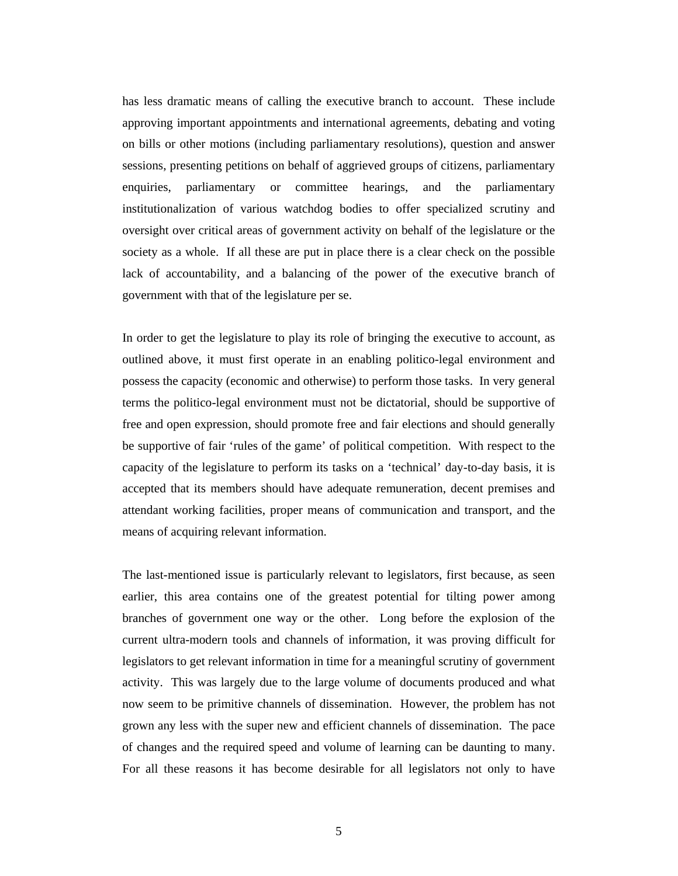has less dramatic means of calling the executive branch to account. These include approving important appointments and international agreements, debating and voting on bills or other motions (including parliamentary resolutions), question and answer sessions, presenting petitions on behalf of aggrieved groups of citizens, parliamentary enquiries, parliamentary or committee hearings, and the parliamentary institutionalization of various watchdog bodies to offer specialized scrutiny and oversight over critical areas of government activity on behalf of the legislature or the society as a whole. If all these are put in place there is a clear check on the possible lack of accountability, and a balancing of the power of the executive branch of government with that of the legislature per se.

In order to get the legislature to play its role of bringing the executive to account, as outlined above, it must first operate in an enabling politico-legal environment and possess the capacity (economic and otherwise) to perform those tasks. In very general terms the politico-legal environment must not be dictatorial, should be supportive of free and open expression, should promote free and fair elections and should generally be supportive of fair 'rules of the game' of political competition. With respect to the capacity of the legislature to perform its tasks on a 'technical' day-to-day basis, it is accepted that its members should have adequate remuneration, decent premises and attendant working facilities, proper means of communication and transport, and the means of acquiring relevant information.

The last-mentioned issue is particularly relevant to legislators, first because, as seen earlier, this area contains one of the greatest potential for tilting power among branches of government one way or the other. Long before the explosion of the current ultra-modern tools and channels of information, it was proving difficult for legislators to get relevant information in time for a meaningful scrutiny of government activity. This was largely due to the large volume of documents produced and what now seem to be primitive channels of dissemination. However, the problem has not grown any less with the super new and efficient channels of dissemination. The pace of changes and the required speed and volume of learning can be daunting to many. For all these reasons it has become desirable for all legislators not only to have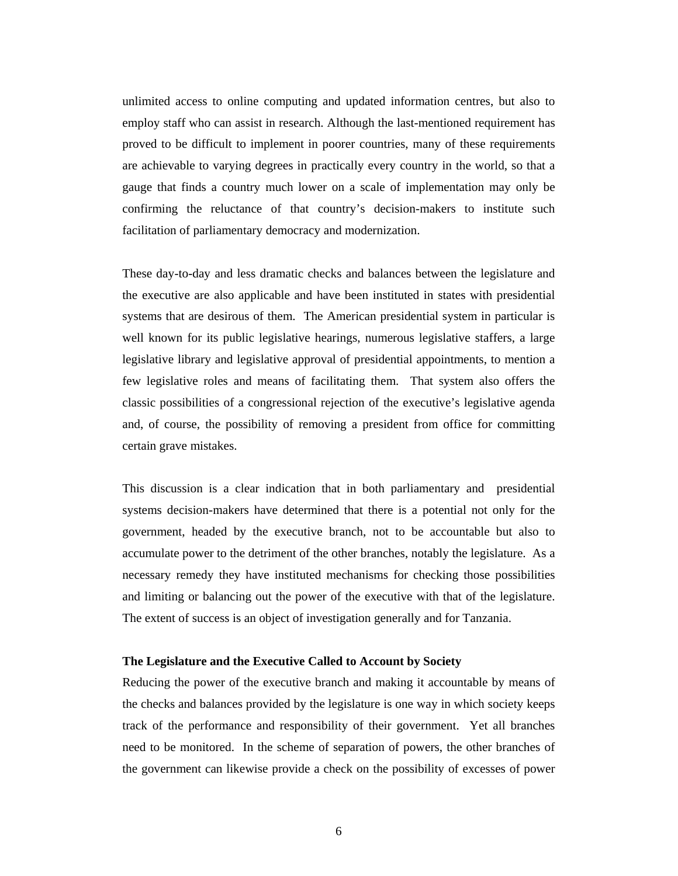unlimited access to online computing and updated information centres, but also to employ staff who can assist in research. Although the last-mentioned requirement has proved to be difficult to implement in poorer countries, many of these requirements are achievable to varying degrees in practically every country in the world, so that a gauge that finds a country much lower on a scale of implementation may only be confirming the reluctance of that country's decision-makers to institute such facilitation of parliamentary democracy and modernization.

These day-to-day and less dramatic checks and balances between the legislature and the executive are also applicable and have been instituted in states with presidential systems that are desirous of them. The American presidential system in particular is well known for its public legislative hearings, numerous legislative staffers, a large legislative library and legislative approval of presidential appointments, to mention a few legislative roles and means of facilitating them. That system also offers the classic possibilities of a congressional rejection of the executive's legislative agenda and, of course, the possibility of removing a president from office for committing certain grave mistakes.

This discussion is a clear indication that in both parliamentary and presidential systems decision-makers have determined that there is a potential not only for the government, headed by the executive branch, not to be accountable but also to accumulate power to the detriment of the other branches, notably the legislature. As a necessary remedy they have instituted mechanisms for checking those possibilities and limiting or balancing out the power of the executive with that of the legislature. The extent of success is an object of investigation generally and for Tanzania.

#### **The Legislature and the Executive Called to Account by Society**

Reducing the power of the executive branch and making it accountable by means of the checks and balances provided by the legislature is one way in which society keeps track of the performance and responsibility of their government. Yet all branches need to be monitored. In the scheme of separation of powers, the other branches of the government can likewise provide a check on the possibility of excesses of power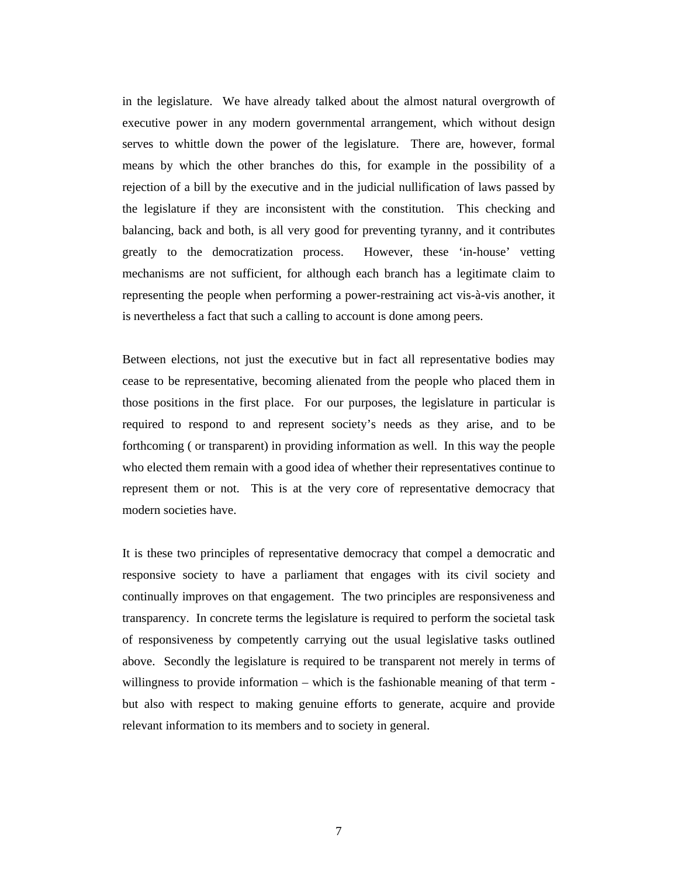in the legislature. We have already talked about the almost natural overgrowth of executive power in any modern governmental arrangement, which without design serves to whittle down the power of the legislature. There are, however, formal means by which the other branches do this, for example in the possibility of a rejection of a bill by the executive and in the judicial nullification of laws passed by the legislature if they are inconsistent with the constitution. This checking and balancing, back and both, is all very good for preventing tyranny, and it contributes greatly to the democratization process. However, these 'in-house' vetting mechanisms are not sufficient, for although each branch has a legitimate claim to representing the people when performing a power-restraining act vis-à-vis another, it is nevertheless a fact that such a calling to account is done among peers.

Between elections, not just the executive but in fact all representative bodies may cease to be representative, becoming alienated from the people who placed them in those positions in the first place. For our purposes, the legislature in particular is required to respond to and represent society's needs as they arise, and to be forthcoming ( or transparent) in providing information as well. In this way the people who elected them remain with a good idea of whether their representatives continue to represent them or not. This is at the very core of representative democracy that modern societies have.

It is these two principles of representative democracy that compel a democratic and responsive society to have a parliament that engages with its civil society and continually improves on that engagement. The two principles are responsiveness and transparency. In concrete terms the legislature is required to perform the societal task of responsiveness by competently carrying out the usual legislative tasks outlined above. Secondly the legislature is required to be transparent not merely in terms of willingness to provide information – which is the fashionable meaning of that term but also with respect to making genuine efforts to generate, acquire and provide relevant information to its members and to society in general.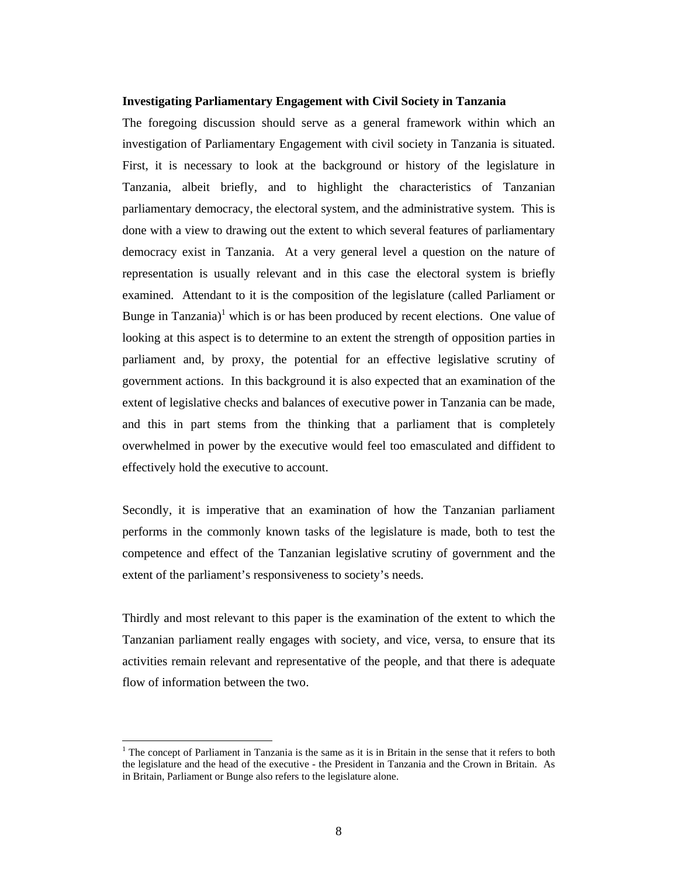#### **Investigating Parliamentary Engagement with Civil Society in Tanzania**

The foregoing discussion should serve as a general framework within which an investigation of Parliamentary Engagement with civil society in Tanzania is situated. First, it is necessary to look at the background or history of the legislature in Tanzania, albeit briefly, and to highlight the characteristics of Tanzanian parliamentary democracy, the electoral system, and the administrative system. This is done with a view to drawing out the extent to which several features of parliamentary democracy exist in Tanzania. At a very general level a question on the nature of representation is usually relevant and in this case the electoral system is briefly examined. Attendant to it is the composition of the legislature (called Parliament or Bunge in Tanzania)<sup>1</sup> which is or has been produced by recent elections. One value of looking at this aspect is to determine to an extent the strength of opposition parties in parliament and, by proxy, the potential for an effective legislative scrutiny of government actions. In this background it is also expected that an examination of the extent of legislative checks and balances of executive power in Tanzania can be made, and this in part stems from the thinking that a parliament that is completely overwhelmed in power by the executive would feel too emasculated and diffident to effectively hold the executive to account.

Secondly, it is imperative that an examination of how the Tanzanian parliament performs in the commonly known tasks of the legislature is made, both to test the competence and effect of the Tanzanian legislative scrutiny of government and the extent of the parliament's responsiveness to society's needs.

Thirdly and most relevant to this paper is the examination of the extent to which the Tanzanian parliament really engages with society, and vice, versa, to ensure that its activities remain relevant and representative of the people, and that there is adequate flow of information between the two.

<sup>&</sup>lt;sup>1</sup> The concept of Parliament in Tanzania is the same as it is in Britain in the sense that it refers to both the legislature and the head of the executive - the President in Tanzania and the Crown in Britain. As in Britain, Parliament or Bunge also refers to the legislature alone.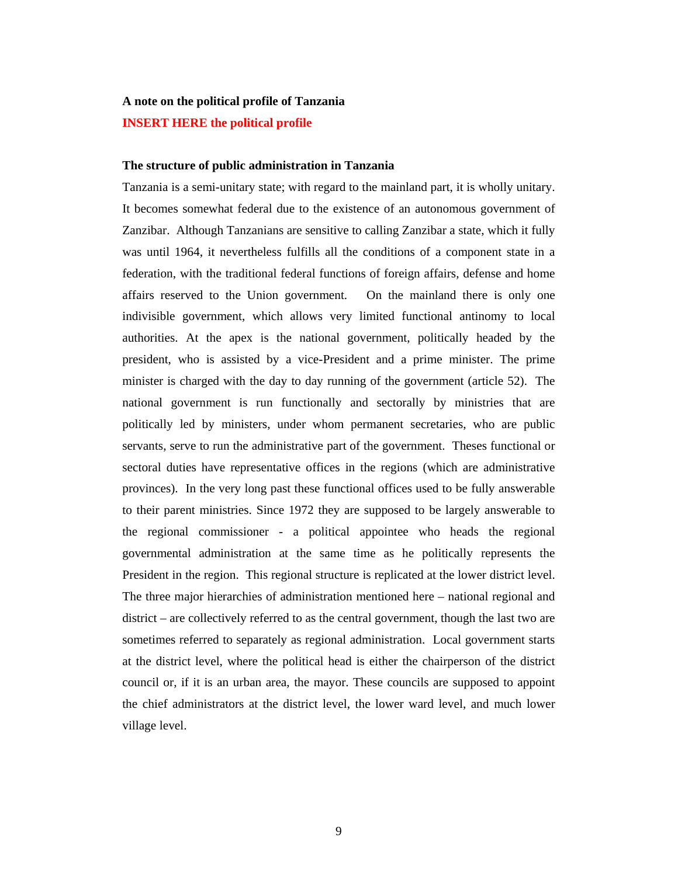## **A note on the political profile of Tanzania INSERT HERE the political profile**

#### **The structure of public administration in Tanzania**

Tanzania is a semi-unitary state; with regard to the mainland part, it is wholly unitary. It becomes somewhat federal due to the existence of an autonomous government of Zanzibar. Although Tanzanians are sensitive to calling Zanzibar a state, which it fully was until 1964, it nevertheless fulfills all the conditions of a component state in a federation, with the traditional federal functions of foreign affairs, defense and home affairs reserved to the Union government. On the mainland there is only one indivisible government, which allows very limited functional antinomy to local authorities. At the apex is the national government, politically headed by the president, who is assisted by a vice-President and a prime minister. The prime minister is charged with the day to day running of the government (article 52). The national government is run functionally and sectorally by ministries that are politically led by ministers, under whom permanent secretaries, who are public servants, serve to run the administrative part of the government. Theses functional or sectoral duties have representative offices in the regions (which are administrative provinces). In the very long past these functional offices used to be fully answerable to their parent ministries. Since 1972 they are supposed to be largely answerable to the regional commissioner - a political appointee who heads the regional governmental administration at the same time as he politically represents the President in the region. This regional structure is replicated at the lower district level. The three major hierarchies of administration mentioned here – national regional and district – are collectively referred to as the central government, though the last two are sometimes referred to separately as regional administration. Local government starts at the district level, where the political head is either the chairperson of the district council or, if it is an urban area, the mayor. These councils are supposed to appoint the chief administrators at the district level, the lower ward level, and much lower village level.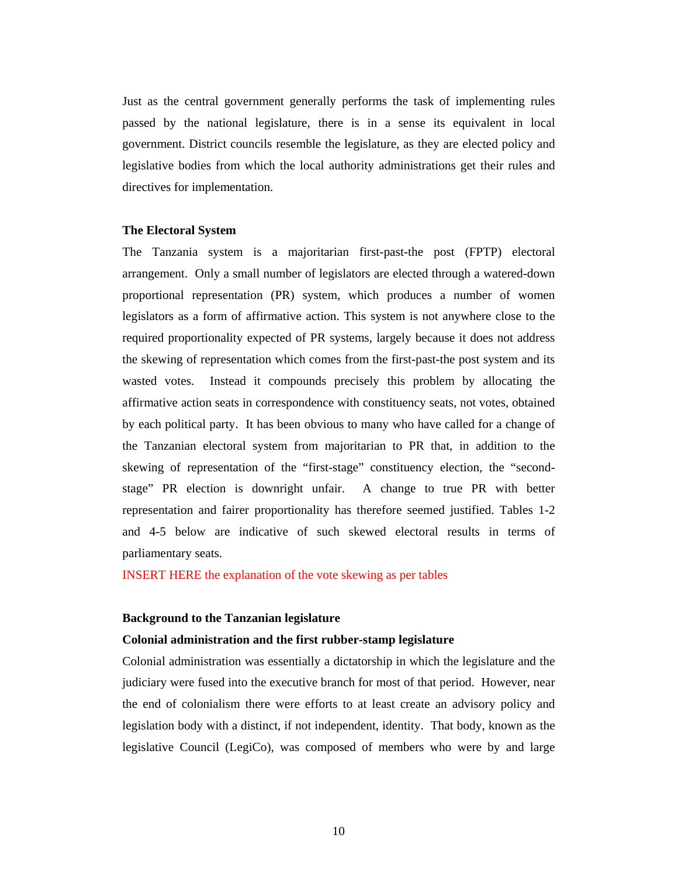Just as the central government generally performs the task of implementing rules passed by the national legislature, there is in a sense its equivalent in local government. District councils resemble the legislature, as they are elected policy and legislative bodies from which the local authority administrations get their rules and directives for implementation.

#### **The Electoral System**

The Tanzania system is a majoritarian first-past-the post (FPTP) electoral arrangement. Only a small number of legislators are elected through a watered-down proportional representation (PR) system, which produces a number of women legislators as a form of affirmative action. This system is not anywhere close to the required proportionality expected of PR systems, largely because it does not address the skewing of representation which comes from the first-past-the post system and its wasted votes. Instead it compounds precisely this problem by allocating the affirmative action seats in correspondence with constituency seats, not votes, obtained by each political party. It has been obvious to many who have called for a change of the Tanzanian electoral system from majoritarian to PR that, in addition to the skewing of representation of the "first-stage" constituency election, the "secondstage" PR election is downright unfair. A change to true PR with better representation and fairer proportionality has therefore seemed justified. Tables 1-2 and 4-5 below are indicative of such skewed electoral results in terms of parliamentary seats.

INSERT HERE the explanation of the vote skewing as per tables

#### **Background to the Tanzanian legislature**

#### **Colonial administration and the first rubber-stamp legislature**

Colonial administration was essentially a dictatorship in which the legislature and the judiciary were fused into the executive branch for most of that period. However, near the end of colonialism there were efforts to at least create an advisory policy and legislation body with a distinct, if not independent, identity. That body, known as the legislative Council (LegiCo), was composed of members who were by and large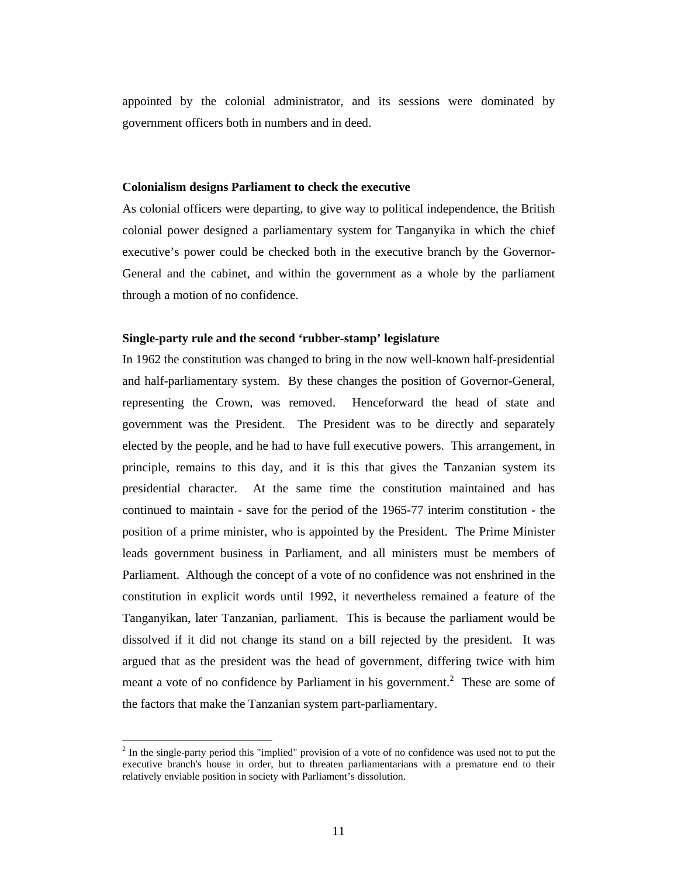appointed by the colonial administrator, and its sessions were dominated by government officers both in numbers and in deed.

#### **Colonialism designs Parliament to check the executive**

As colonial officers were departing, to give way to political independence, the British colonial power designed a parliamentary system for Tanganyika in which the chief executive's power could be checked both in the executive branch by the Governor-General and the cabinet, and within the government as a whole by the parliament through a motion of no confidence.

#### **Single-party rule and the second 'rubber-stamp' legislature**

In 1962 the constitution was changed to bring in the now well-known half-presidential and half-parliamentary system. By these changes the position of Governor-General, representing the Crown, was removed. Henceforward the head of state and government was the President. The President was to be directly and separately elected by the people, and he had to have full executive powers. This arrangement, in principle, remains to this day, and it is this that gives the Tanzanian system its presidential character. At the same time the constitution maintained and has continued to maintain - save for the period of the 1965-77 interim constitution - the position of a prime minister, who is appointed by the President. The Prime Minister leads government business in Parliament, and all ministers must be members of Parliament. Although the concept of a vote of no confidence was not enshrined in the constitution in explicit words until 1992, it nevertheless remained a feature of the Tanganyikan, later Tanzanian, parliament. This is because the parliament would be dissolved if it did not change its stand on a bill rejected by the president. It was argued that as the president was the head of government, differing twice with him meant a vote of no confidence by Parliament in his government.<sup>2</sup> These are some of the factors that make the Tanzanian system part-parliamentary.

 $2<sup>2</sup>$  In the single-party period this "implied" provision of a vote of no confidence was used not to put the executive branch's house in order, but to threaten parliamentarians with a premature end to their relatively enviable position in society with Parliament's dissolution.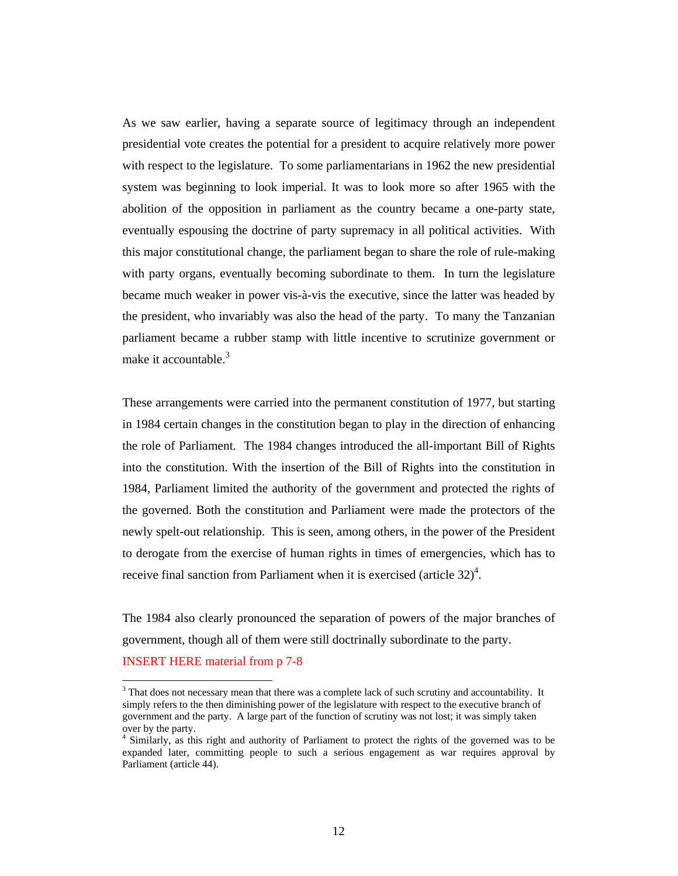As we saw earlier, having a separate source of legitimacy through an independent presidential vote creates the potential for a president to acquire relatively more power with respect to the legislature. To some parliamentarians in 1962 the new presidential system was beginning to look imperial. It was to look more so after 1965 with the abolition of the opposition in parliament as the country became a one-party state, eventually espousing the doctrine of party supremacy in all political activities. With this major constitutional change, the parliament began to share the role of rule-making with party organs, eventually becoming subordinate to them. In turn the legislature became much weaker in power vis-à-vis the executive, since the latter was headed by the president, who invariably was also the head of the party. To many the Tanzanian parliament became a rubber stamp with little incentive to scrutinize government or make it accountable.<sup>3</sup>

These arrangements were carried into the permanent constitution of 1977, but starting in 1984 certain changes in the constitution began to play in the direction of enhancing the role of Parliament. The 1984 changes introduced the all-important Bill of Rights into the constitution. With the insertion of the Bill of Rights into the constitution in 1984, Parliament limited the authority of the government and protected the rights of the governed. Both the constitution and Parliament were made the protectors of the newly spelt-out relationship. This is seen, among others, in the power of the President to derogate from the exercise of human rights in times of emergencies, which has to receive final sanction from Parliament when it is exercised (article  $32)^4$ .

The 1984 also clearly pronounced the separation of powers of the major branches of government, though all of them were still doctrinally subordinate to the party. INSERT HERE material from p 7-8

<sup>3</sup> That does not necessary mean that there was a complete lack of such scrutiny and accountability. It simply refers to the then diminishing power of the legislature with respect to the executive branch of government and the party. A large part of the function of scrutiny was not lost; it was simply taken over by the party.

<sup>&</sup>lt;sup>4</sup> Similarly, as this right and authority of Parliament to protect the rights of the governed was to be expanded later, committing people to such a serious engagement as war requires approval by Parliament (article 44).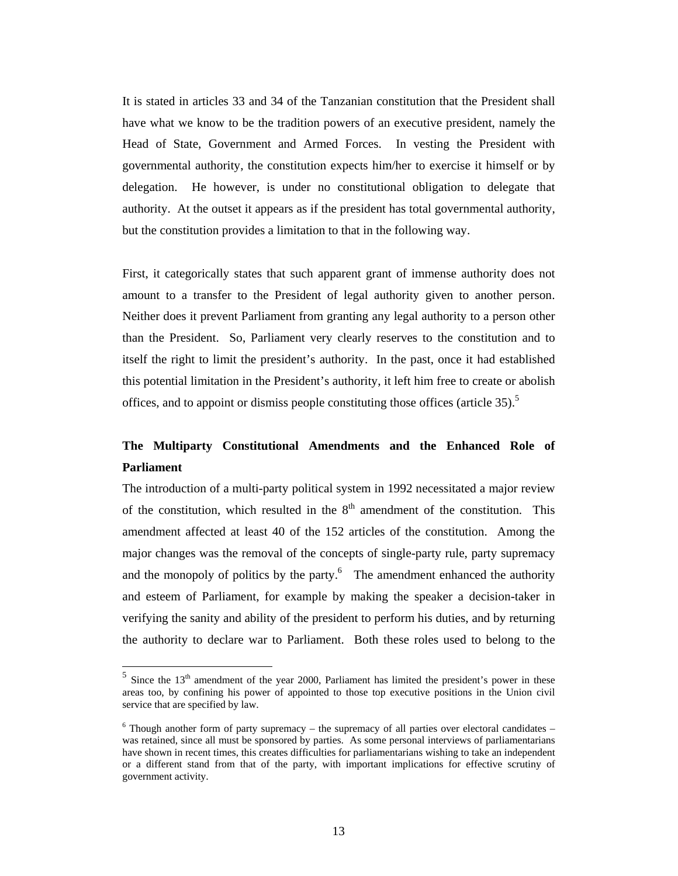It is stated in articles 33 and 34 of the Tanzanian constitution that the President shall have what we know to be the tradition powers of an executive president, namely the Head of State, Government and Armed Forces. In vesting the President with governmental authority, the constitution expects him/her to exercise it himself or by delegation. He however, is under no constitutional obligation to delegate that authority. At the outset it appears as if the president has total governmental authority, but the constitution provides a limitation to that in the following way.

First, it categorically states that such apparent grant of immense authority does not amount to a transfer to the President of legal authority given to another person. Neither does it prevent Parliament from granting any legal authority to a person other than the President. So, Parliament very clearly reserves to the constitution and to itself the right to limit the president's authority. In the past, once it had established this potential limitation in the President's authority, it left him free to create or abolish offices, and to appoint or dismiss people constituting those offices (article  $35$ ).<sup>5</sup>

## **The Multiparty Constitutional Amendments and the Enhanced Role of Parliament**

The introduction of a multi-party political system in 1992 necessitated a major review of the constitution, which resulted in the  $8<sup>th</sup>$  amendment of the constitution. This amendment affected at least 40 of the 152 articles of the constitution. Among the major changes was the removal of the concepts of single-party rule, party supremacy and the monopoly of politics by the party. $6\degree$  The amendment enhanced the authority and esteem of Parliament, for example by making the speaker a decision-taker in verifying the sanity and ability of the president to perform his duties, and by returning the authority to declare war to Parliament. Both these roles used to belong to the

 $5$  Since the 13<sup>th</sup> amendment of the year 2000, Parliament has limited the president's power in these areas too, by confining his power of appointed to those top executive positions in the Union civil service that are specified by law.

 $6$  Though another form of party supremacy – the supremacy of all parties over electoral candidates – was retained, since all must be sponsored by parties. As some personal interviews of parliamentarians have shown in recent times, this creates difficulties for parliamentarians wishing to take an independent or a different stand from that of the party, with important implications for effective scrutiny of government activity.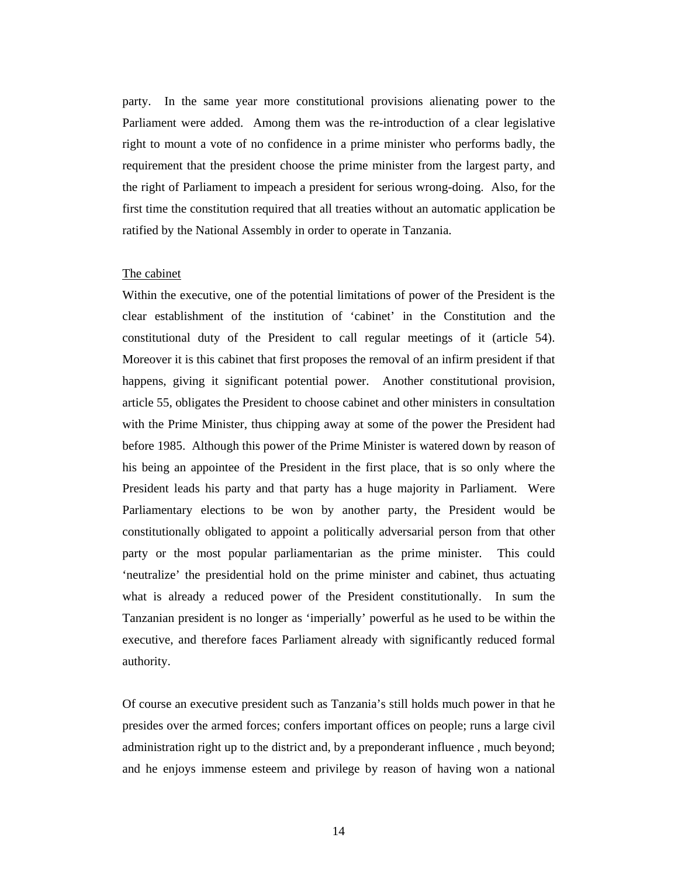party. In the same year more constitutional provisions alienating power to the Parliament were added. Among them was the re-introduction of a clear legislative right to mount a vote of no confidence in a prime minister who performs badly, the requirement that the president choose the prime minister from the largest party, and the right of Parliament to impeach a president for serious wrong-doing. Also, for the first time the constitution required that all treaties without an automatic application be ratified by the National Assembly in order to operate in Tanzania.

#### The cabinet

Within the executive, one of the potential limitations of power of the President is the clear establishment of the institution of 'cabinet' in the Constitution and the constitutional duty of the President to call regular meetings of it (article 54). Moreover it is this cabinet that first proposes the removal of an infirm president if that happens, giving it significant potential power. Another constitutional provision, article 55, obligates the President to choose cabinet and other ministers in consultation with the Prime Minister, thus chipping away at some of the power the President had before 1985. Although this power of the Prime Minister is watered down by reason of his being an appointee of the President in the first place, that is so only where the President leads his party and that party has a huge majority in Parliament. Were Parliamentary elections to be won by another party, the President would be constitutionally obligated to appoint a politically adversarial person from that other party or the most popular parliamentarian as the prime minister. This could 'neutralize' the presidential hold on the prime minister and cabinet, thus actuating what is already a reduced power of the President constitutionally. In sum the Tanzanian president is no longer as 'imperially' powerful as he used to be within the executive, and therefore faces Parliament already with significantly reduced formal authority.

Of course an executive president such as Tanzania's still holds much power in that he presides over the armed forces; confers important offices on people; runs a large civil administration right up to the district and, by a preponderant influence , much beyond; and he enjoys immense esteem and privilege by reason of having won a national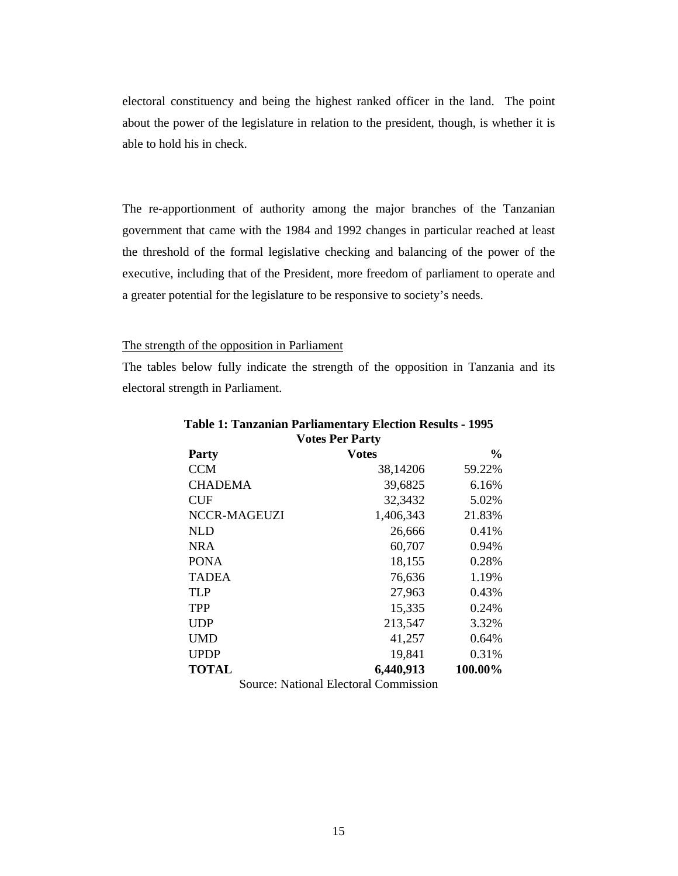electoral constituency and being the highest ranked officer in the land. The point about the power of the legislature in relation to the president, though, is whether it is able to hold his in check.

The re-apportionment of authority among the major branches of the Tanzanian government that came with the 1984 and 1992 changes in particular reached at least the threshold of the formal legislative checking and balancing of the power of the executive, including that of the President, more freedom of parliament to operate and a greater potential for the legislature to be responsive to society's needs.

#### The strength of the opposition in Parliament

The tables below fully indicate the strength of the opposition in Tanzania and its electoral strength in Parliament.

| <b>Votes Per Party</b> |              |               |  |  |  |
|------------------------|--------------|---------------|--|--|--|
| <b>Party</b>           | <b>Votes</b> | $\frac{0}{0}$ |  |  |  |
| <b>CCM</b>             | 38,14206     | 59.22%        |  |  |  |
| <b>CHADEMA</b>         | 39,6825      | 6.16%         |  |  |  |
| <b>CUF</b>             | 32,3432      | 5.02%         |  |  |  |
| NCCR-MAGEUZI           | 1,406,343    | 21.83%        |  |  |  |
| <b>NLD</b>             | 26,666       | 0.41%         |  |  |  |
| <b>NRA</b>             | 60,707       | 0.94%         |  |  |  |
| <b>PONA</b>            | 18,155       | 0.28%         |  |  |  |
| <b>TADEA</b>           | 76,636       | 1.19%         |  |  |  |
| <b>TLP</b>             | 27,963       | 0.43%         |  |  |  |
| <b>TPP</b>             | 15,335       | 0.24%         |  |  |  |
| <b>UDP</b>             | 213,547      | 3.32%         |  |  |  |
| UMD                    | 41,257       | 0.64%         |  |  |  |
| <b>UPDP</b>            | 19,841       | 0.31%         |  |  |  |
| <b>TOTAL</b>           | 6,440,913    | 100.00%       |  |  |  |

# **Table 1: Tanzanian Parliamentary Election Results - 1995**

Source: National Electoral Commission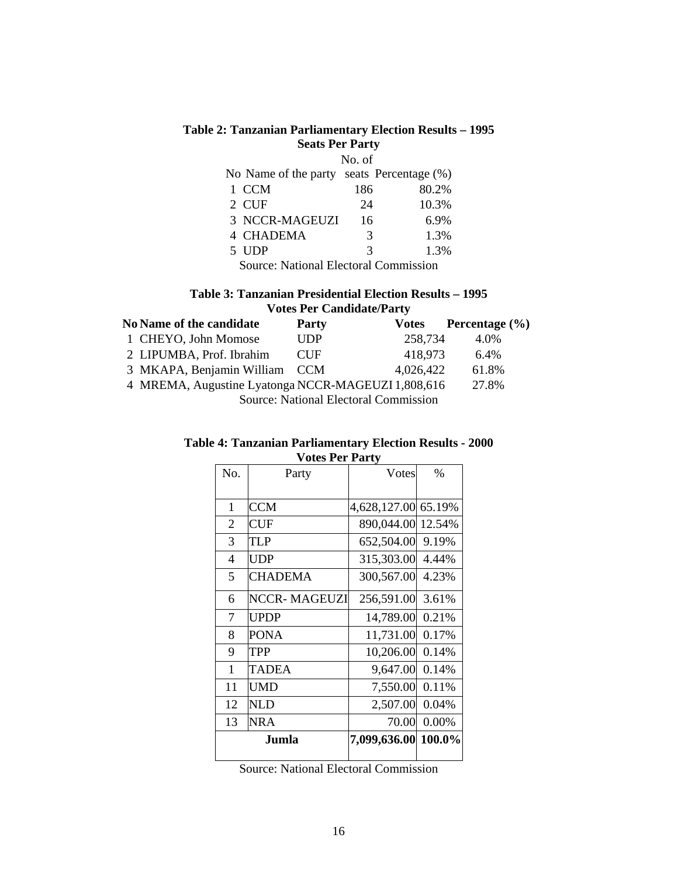#### **Table 2: Tanzanian Parliamentary Election Results – 1995 Seats Per Party**

|                                           | No. of |       |
|-------------------------------------------|--------|-------|
| No Name of the party seats Percentage (%) |        |       |
| 1 CCM                                     | 186    | 80.2% |
| 2 CUF                                     | 24     | 10.3% |
| 3 NCCR-MAGEUZI                            | 16     | 6.9%  |
| <b>4 CHADEMA</b>                          | 3      | 1.3%  |
| 5 UDP                                     | 3      | 1.3%  |
|                                           |        |       |

Source: National Electoral Commission

#### **Table 3: Tanzanian Presidential Election Results – 1995 Votes Per Candidate/Party**

| <b>No Name of the candidate</b>                    | <b>Party</b> | <b>Votes</b> | Percentage $(\% )$ |  |  |  |
|----------------------------------------------------|--------------|--------------|--------------------|--|--|--|
| 1 CHEYO, John Momose                               | <b>UDP</b>   | 258,734      | 4.0%               |  |  |  |
| 2 LIPUMBA, Prof. Ibrahim                           | <b>CUF</b>   | 418,973      | 6.4%               |  |  |  |
| 3 MKAPA, Benjamin William CCM                      |              | 4.026.422    | 61.8%              |  |  |  |
| 4 MREMA, Augustine Lyatonga NCCR-MAGEUZI 1,808,616 |              |              | 27.8%              |  |  |  |
| Source: National Electoral Commission              |              |              |                    |  |  |  |

#### **Table 4: Tanzanian Parliamentary Election Results - 2000 Votes Per Party**

| No.            | 000101140<br>Party  | Votes        | $\%$   |
|----------------|---------------------|--------------|--------|
|                |                     |              |        |
| $\mathbf{1}$   | <b>CCM</b>          | 4,628,127.00 | 65.19% |
| $\overline{2}$ | <b>CUF</b>          | 890,044.00   | 12.54% |
| 3              | TLP                 | 652,504.00   | 9.19%  |
| 4              | UDP                 | 315,303.00   | 4.44%  |
| 5              | <b>CHADEMA</b>      | 300,567.00   | 4.23%  |
| 6              | <b>NCCR-MAGEUZI</b> | 256,591.00   | 3.61%  |
| 7              | <b>UPDP</b>         | 14,789.00    | 0.21%  |
| 8              | PONA                | 11,731.00    | 0.17%  |
| 9              | TPP                 | 10,206.00    | 0.14%  |
| $\mathbf{1}$   | <b>TADEA</b>        | 9,647.00     | 0.14%  |
| 11             | <b>UMD</b>          | 7,550.00     | 0.11%  |
| 12             | NLD                 | 2,507.00     | 0.04%  |
| 13             | <b>NRA</b>          | 70.00        | 0.00%  |
|                | Jumla               | 7,099,636.00 | 100.0% |

Source: National Electoral Commission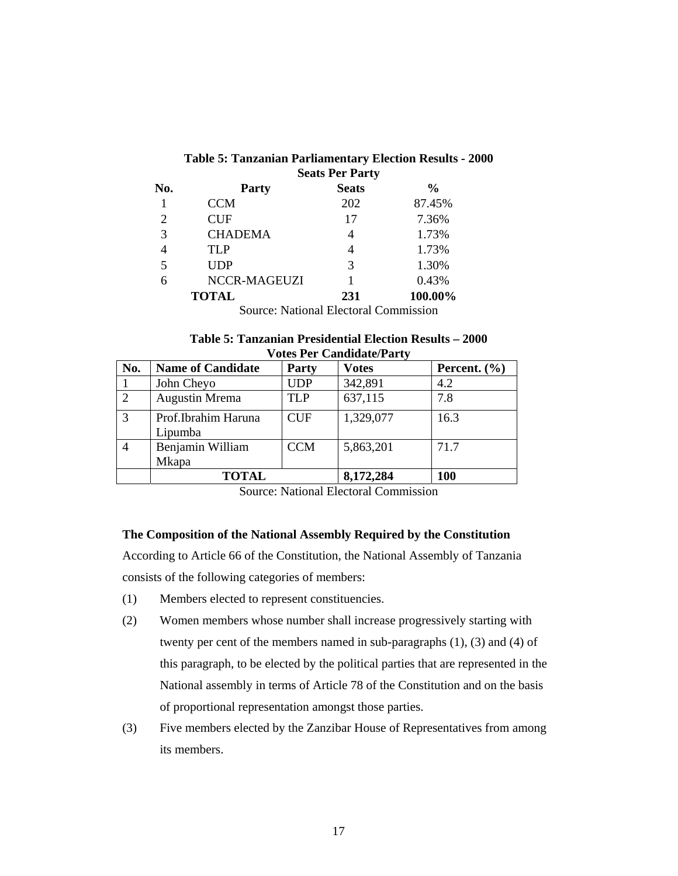| <b>Table 5: Tanzanian Parliamentary Election Results - 2000</b> |                        |  |
|-----------------------------------------------------------------|------------------------|--|
|                                                                 | <b>Seats Per Party</b> |  |

| No.            | Party               | <b>Seats</b>         | $\frac{6}{9}$ |
|----------------|---------------------|----------------------|---------------|
|                | <b>CCM</b>          | 202                  | 87.45%        |
| $\overline{2}$ | <b>CUF</b>          | 17                   | 7.36%         |
| 3              | <b>CHADEMA</b>      | 4                    | 1.73%         |
| 4              | <b>TLP</b>          | 4                    | 1.73%         |
| 5              | <b>UDP</b>          | 3                    | 1.30%         |
| 6              | <b>NCCR-MAGEUZI</b> |                      | 0.43%         |
|                | <b>TOTAL</b>        | 231                  | 100.00%       |
|                | $\sim$<br>$\cdots$  | $\sim$ $\sim$ $\sim$ |               |

Source: National Electoral Commission

| Table 5: Tanzanian Presidential Election Results – 2000 |  |
|---------------------------------------------------------|--|
| <b>Votes Per Candidate/Party</b>                        |  |

| No. | <b>Name of Candidate</b>         | <b>Party</b> | <b>Votes</b> | Percent. $(\% )$ |
|-----|----------------------------------|--------------|--------------|------------------|
|     | John Cheyo                       | <b>UDP</b>   | 342,891      | 4.2              |
| 2   | <b>Augustin Mrema</b>            | <b>TLP</b>   | 637,115      | 7.8              |
| 3   | Prof.Ibrahim Haruna<br>Lipumba   | <b>CUF</b>   | 1,329,077    | 16.3             |
|     | Benjamin William<br><b>Mkapa</b> | <b>CCM</b>   | 5,863,201    | 71.7             |
|     | <b>TOTAL</b>                     |              | 8,172,284    | 100              |

Source: National Electoral Commission

#### **The Composition of the National Assembly Required by the Constitution**

According to Article 66 of the Constitution, the National Assembly of Tanzania consists of the following categories of members:

- (1) Members elected to represent constituencies.
- (2) Women members whose number shall increase progressively starting with twenty per cent of the members named in sub-paragraphs (1), (3) and (4) of this paragraph, to be elected by the political parties that are represented in the National assembly in terms of Article 78 of the Constitution and on the basis of proportional representation amongst those parties.
- (3) Five members elected by the Zanzibar House of Representatives from among its members.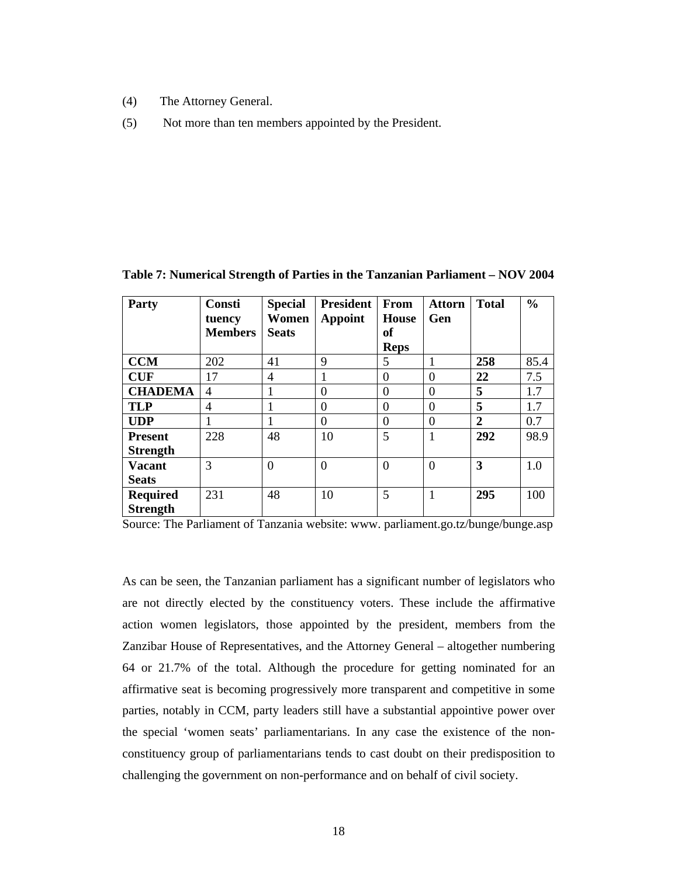- (4) The Attorney General.
- (5) Not more than ten members appointed by the President.

| Party           | <b>Consti</b><br>tuency<br><b>Members</b> | <b>Special</b><br>Women<br><b>Seats</b> | <b>President</b><br><b>Appoint</b> | <b>From</b><br><b>House</b><br>оf<br><b>Reps</b> | <b>Attorn</b><br>Gen | <b>Total</b>   | $\frac{0}{0}$ |
|-----------------|-------------------------------------------|-----------------------------------------|------------------------------------|--------------------------------------------------|----------------------|----------------|---------------|
| <b>CCM</b>      | 202                                       | 41                                      | 9                                  | 5                                                |                      | 258            | 85.4          |
| <b>CUF</b>      | 17                                        | $\overline{4}$                          | 1                                  | $\theta$                                         | $\theta$             | 22             | 7.5           |
| <b>CHADEMA</b>  | 4                                         |                                         | $\Omega$                           | $\overline{0}$                                   | $\overline{0}$       | 5              | 1.7           |
| <b>TLP</b>      | 4                                         |                                         | $\Omega$                           | $\theta$                                         | $\theta$             | 5              | 1.7           |
| <b>UDP</b>      |                                           |                                         | $\Omega$                           | $\Omega$                                         | $\theta$             | $\overline{2}$ | 0.7           |
| <b>Present</b>  | 228                                       | 48                                      | 10                                 | 5                                                | 1                    | 292            | 98.9          |
| <b>Strength</b> |                                           |                                         |                                    |                                                  |                      |                |               |
| <b>Vacant</b>   | 3                                         | $\overline{0}$                          | $\overline{0}$                     | $\theta$                                         | $\overline{0}$       | 3              | 1.0           |
| <b>Seats</b>    |                                           |                                         |                                    |                                                  |                      |                |               |
| <b>Required</b> | 231                                       | 48                                      | 10                                 | 5                                                | 1                    | 295            | 100           |
| <b>Strength</b> |                                           |                                         |                                    |                                                  |                      |                |               |

**Table 7: Numerical Strength of Parties in the Tanzanian Parliament – NOV 2004** 

Source: The Parliament of Tanzania website: www. parliament.go.tz/bunge/bunge.asp

As can be seen, the Tanzanian parliament has a significant number of legislators who are not directly elected by the constituency voters. These include the affirmative action women legislators, those appointed by the president, members from the Zanzibar House of Representatives, and the Attorney General – altogether numbering 64 or 21.7% of the total. Although the procedure for getting nominated for an affirmative seat is becoming progressively more transparent and competitive in some parties, notably in CCM, party leaders still have a substantial appointive power over the special 'women seats' parliamentarians. In any case the existence of the nonconstituency group of parliamentarians tends to cast doubt on their predisposition to challenging the government on non-performance and on behalf of civil society.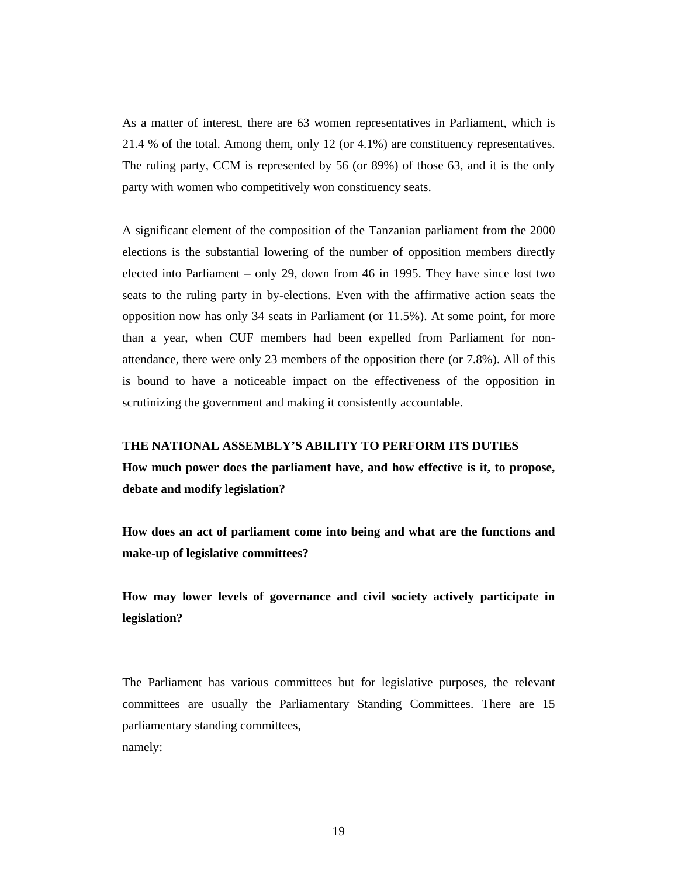As a matter of interest, there are 63 women representatives in Parliament, which is 21.4 % of the total. Among them, only 12 (or 4.1%) are constituency representatives. The ruling party, CCM is represented by 56 (or 89%) of those 63, and it is the only party with women who competitively won constituency seats.

A significant element of the composition of the Tanzanian parliament from the 2000 elections is the substantial lowering of the number of opposition members directly elected into Parliament – only 29, down from 46 in 1995. They have since lost two seats to the ruling party in by-elections. Even with the affirmative action seats the opposition now has only 34 seats in Parliament (or 11.5%). At some point, for more than a year, when CUF members had been expelled from Parliament for nonattendance, there were only 23 members of the opposition there (or 7.8%). All of this is bound to have a noticeable impact on the effectiveness of the opposition in scrutinizing the government and making it consistently accountable.

#### **THE NATIONAL ASSEMBLY'S ABILITY TO PERFORM ITS DUTIES**

**How much power does the parliament have, and how effective is it, to propose, debate and modify legislation?** 

**How does an act of parliament come into being and what are the functions and make-up of legislative committees?** 

**How may lower levels of governance and civil society actively participate in legislation?** 

The Parliament has various committees but for legislative purposes, the relevant committees are usually the Parliamentary Standing Committees. There are 15 parliamentary standing committees, namely: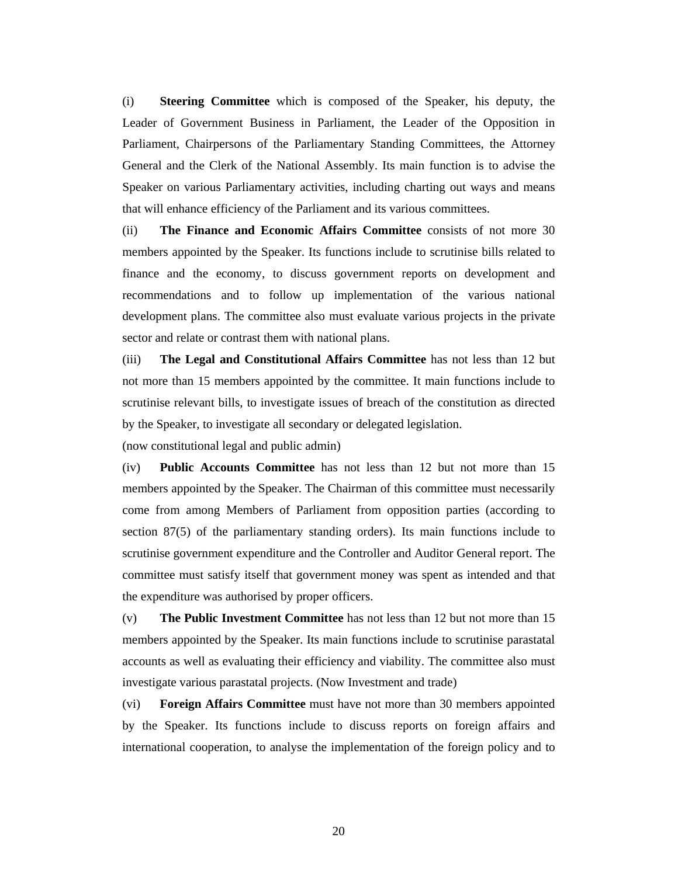(i) **Steering Committee** which is composed of the Speaker, his deputy, the Leader of Government Business in Parliament, the Leader of the Opposition in Parliament, Chairpersons of the Parliamentary Standing Committees, the Attorney General and the Clerk of the National Assembly. Its main function is to advise the Speaker on various Parliamentary activities, including charting out ways and means that will enhance efficiency of the Parliament and its various committees.

(ii) **The Finance and Economic Affairs Committee** consists of not more 30 members appointed by the Speaker. Its functions include to scrutinise bills related to finance and the economy, to discuss government reports on development and recommendations and to follow up implementation of the various national development plans. The committee also must evaluate various projects in the private sector and relate or contrast them with national plans.

(iii) **The Legal and Constitutional Affairs Committee** has not less than 12 but not more than 15 members appointed by the committee. It main functions include to scrutinise relevant bills, to investigate issues of breach of the constitution as directed by the Speaker, to investigate all secondary or delegated legislation.

(now constitutional legal and public admin)

(iv) **Public Accounts Committee** has not less than 12 but not more than 15 members appointed by the Speaker. The Chairman of this committee must necessarily come from among Members of Parliament from opposition parties (according to section 87(5) of the parliamentary standing orders). Its main functions include to scrutinise government expenditure and the Controller and Auditor General report. The committee must satisfy itself that government money was spent as intended and that the expenditure was authorised by proper officers.

(v) **The Public Investment Committee** has not less than 12 but not more than 15 members appointed by the Speaker. Its main functions include to scrutinise parastatal accounts as well as evaluating their efficiency and viability. The committee also must investigate various parastatal projects. (Now Investment and trade)

(vi) **Foreign Affairs Committee** must have not more than 30 members appointed by the Speaker. Its functions include to discuss reports on foreign affairs and international cooperation, to analyse the implementation of the foreign policy and to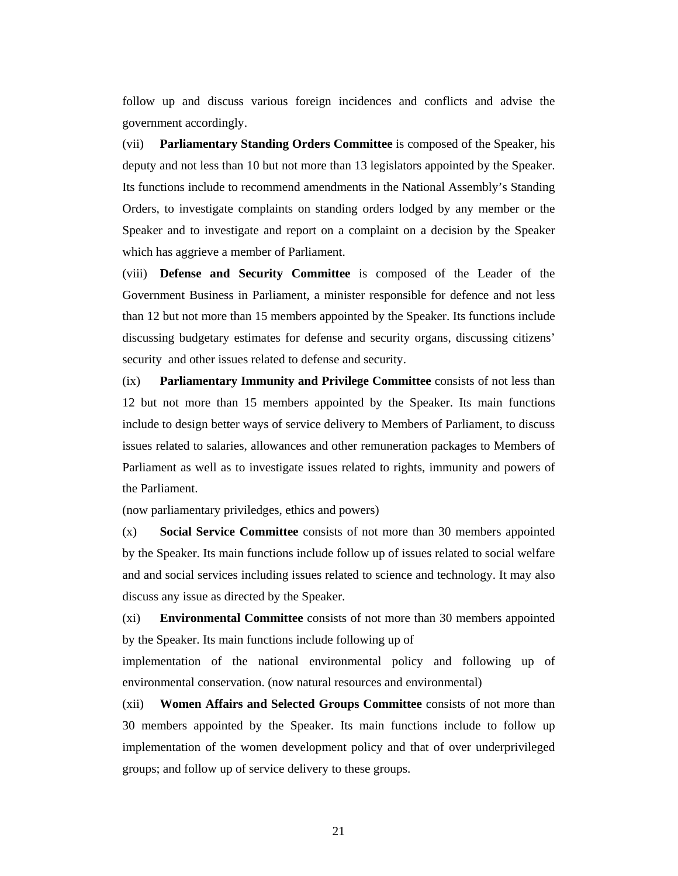follow up and discuss various foreign incidences and conflicts and advise the government accordingly.

(vii) **Parliamentary Standing Orders Committee** is composed of the Speaker, his deputy and not less than 10 but not more than 13 legislators appointed by the Speaker. Its functions include to recommend amendments in the National Assembly's Standing Orders, to investigate complaints on standing orders lodged by any member or the Speaker and to investigate and report on a complaint on a decision by the Speaker which has aggrieve a member of Parliament.

(viii) **Defense and Security Committee** is composed of the Leader of the Government Business in Parliament, a minister responsible for defence and not less than 12 but not more than 15 members appointed by the Speaker. Its functions include discussing budgetary estimates for defense and security organs, discussing citizens' security and other issues related to defense and security.

(ix) **Parliamentary Immunity and Privilege Committee** consists of not less than 12 but not more than 15 members appointed by the Speaker. Its main functions include to design better ways of service delivery to Members of Parliament, to discuss issues related to salaries, allowances and other remuneration packages to Members of Parliament as well as to investigate issues related to rights, immunity and powers of the Parliament.

(now parliamentary priviledges, ethics and powers)

(x) **Social Service Committee** consists of not more than 30 members appointed by the Speaker. Its main functions include follow up of issues related to social welfare and and social services including issues related to science and technology. It may also discuss any issue as directed by the Speaker.

(xi) **Environmental Committee** consists of not more than 30 members appointed by the Speaker. Its main functions include following up of

implementation of the national environmental policy and following up of environmental conservation. (now natural resources and environmental)

(xii) **Women Affairs and Selected Groups Committee** consists of not more than 30 members appointed by the Speaker. Its main functions include to follow up implementation of the women development policy and that of over underprivileged groups; and follow up of service delivery to these groups.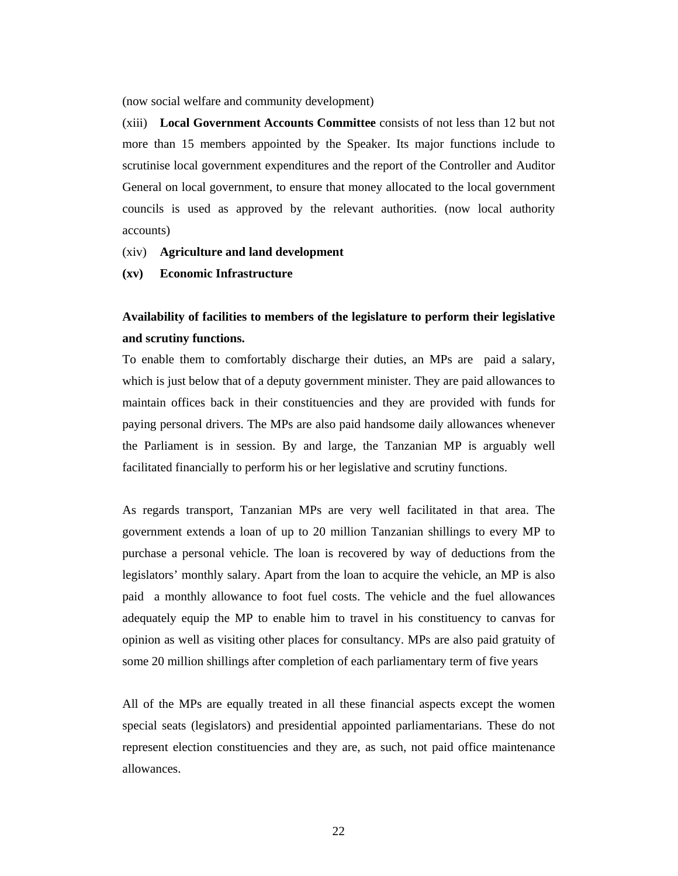(now social welfare and community development)

(xiii) **Local Government Accounts Committee** consists of not less than 12 but not more than 15 members appointed by the Speaker. Its major functions include to scrutinise local government expenditures and the report of the Controller and Auditor General on local government, to ensure that money allocated to the local government councils is used as approved by the relevant authorities. (now local authority accounts)

- (xiv) **Agriculture and land development**
- **(xv) Economic Infrastructure**

## **Availability of facilities to members of the legislature to perform their legislative and scrutiny functions.**

To enable them to comfortably discharge their duties, an MPs are paid a salary, which is just below that of a deputy government minister. They are paid allowances to maintain offices back in their constituencies and they are provided with funds for paying personal drivers. The MPs are also paid handsome daily allowances whenever the Parliament is in session. By and large, the Tanzanian MP is arguably well facilitated financially to perform his or her legislative and scrutiny functions.

As regards transport, Tanzanian MPs are very well facilitated in that area. The government extends a loan of up to 20 million Tanzanian shillings to every MP to purchase a personal vehicle. The loan is recovered by way of deductions from the legislators' monthly salary. Apart from the loan to acquire the vehicle, an MP is also paid a monthly allowance to foot fuel costs. The vehicle and the fuel allowances adequately equip the MP to enable him to travel in his constituency to canvas for opinion as well as visiting other places for consultancy. MPs are also paid gratuity of some 20 million shillings after completion of each parliamentary term of five years

All of the MPs are equally treated in all these financial aspects except the women special seats (legislators) and presidential appointed parliamentarians. These do not represent election constituencies and they are, as such, not paid office maintenance allowances.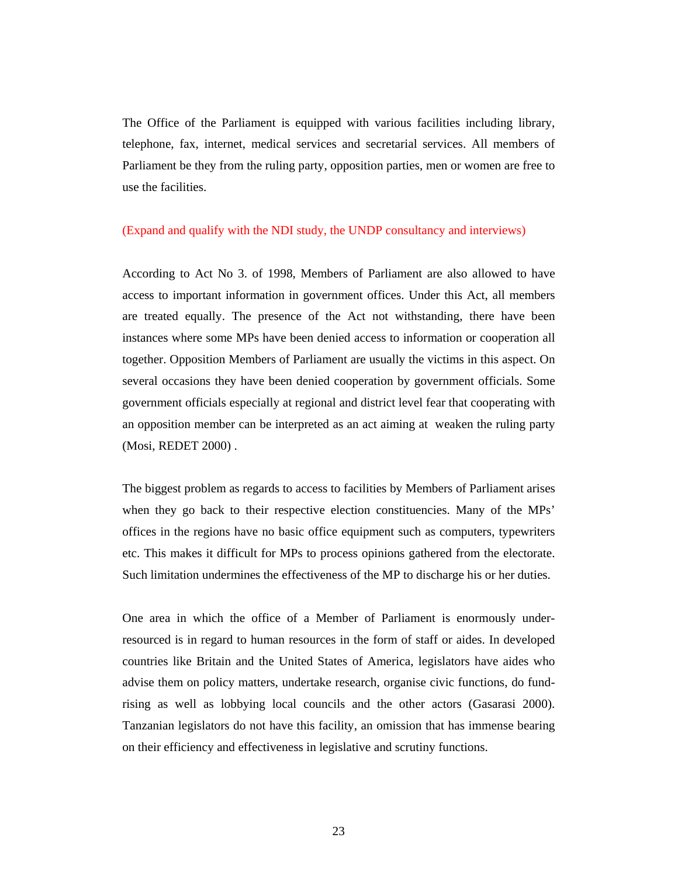The Office of the Parliament is equipped with various facilities including library, telephone, fax, internet, medical services and secretarial services. All members of Parliament be they from the ruling party, opposition parties, men or women are free to use the facilities.

#### (Expand and qualify with the NDI study, the UNDP consultancy and interviews)

According to Act No 3. of 1998, Members of Parliament are also allowed to have access to important information in government offices. Under this Act, all members are treated equally. The presence of the Act not withstanding, there have been instances where some MPs have been denied access to information or cooperation all together. Opposition Members of Parliament are usually the victims in this aspect. On several occasions they have been denied cooperation by government officials. Some government officials especially at regional and district level fear that cooperating with an opposition member can be interpreted as an act aiming at weaken the ruling party (Mosi, REDET 2000) .

The biggest problem as regards to access to facilities by Members of Parliament arises when they go back to their respective election constituencies. Many of the MPs' offices in the regions have no basic office equipment such as computers, typewriters etc. This makes it difficult for MPs to process opinions gathered from the electorate. Such limitation undermines the effectiveness of the MP to discharge his or her duties.

One area in which the office of a Member of Parliament is enormously underresourced is in regard to human resources in the form of staff or aides. In developed countries like Britain and the United States of America, legislators have aides who advise them on policy matters, undertake research, organise civic functions, do fundrising as well as lobbying local councils and the other actors (Gasarasi 2000). Tanzanian legislators do not have this facility, an omission that has immense bearing on their efficiency and effectiveness in legislative and scrutiny functions.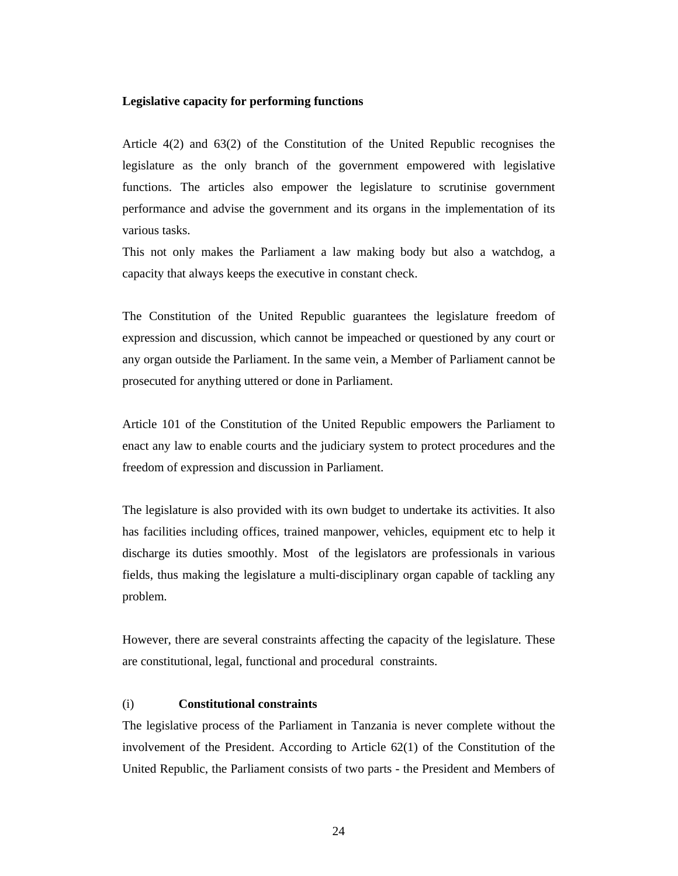#### **Legislative capacity for performing functions**

Article 4(2) and 63(2) of the Constitution of the United Republic recognises the legislature as the only branch of the government empowered with legislative functions. The articles also empower the legislature to scrutinise government performance and advise the government and its organs in the implementation of its various tasks.

This not only makes the Parliament a law making body but also a watchdog, a capacity that always keeps the executive in constant check.

The Constitution of the United Republic guarantees the legislature freedom of expression and discussion, which cannot be impeached or questioned by any court or any organ outside the Parliament. In the same vein, a Member of Parliament cannot be prosecuted for anything uttered or done in Parliament.

Article 101 of the Constitution of the United Republic empowers the Parliament to enact any law to enable courts and the judiciary system to protect procedures and the freedom of expression and discussion in Parliament.

The legislature is also provided with its own budget to undertake its activities. It also has facilities including offices, trained manpower, vehicles, equipment etc to help it discharge its duties smoothly. Most of the legislators are professionals in various fields, thus making the legislature a multi-disciplinary organ capable of tackling any problem.

However, there are several constraints affecting the capacity of the legislature. These are constitutional, legal, functional and procedural constraints.

#### (i) **Constitutional constraints**

The legislative process of the Parliament in Tanzania is never complete without the involvement of the President. According to Article 62(1) of the Constitution of the United Republic, the Parliament consists of two parts - the President and Members of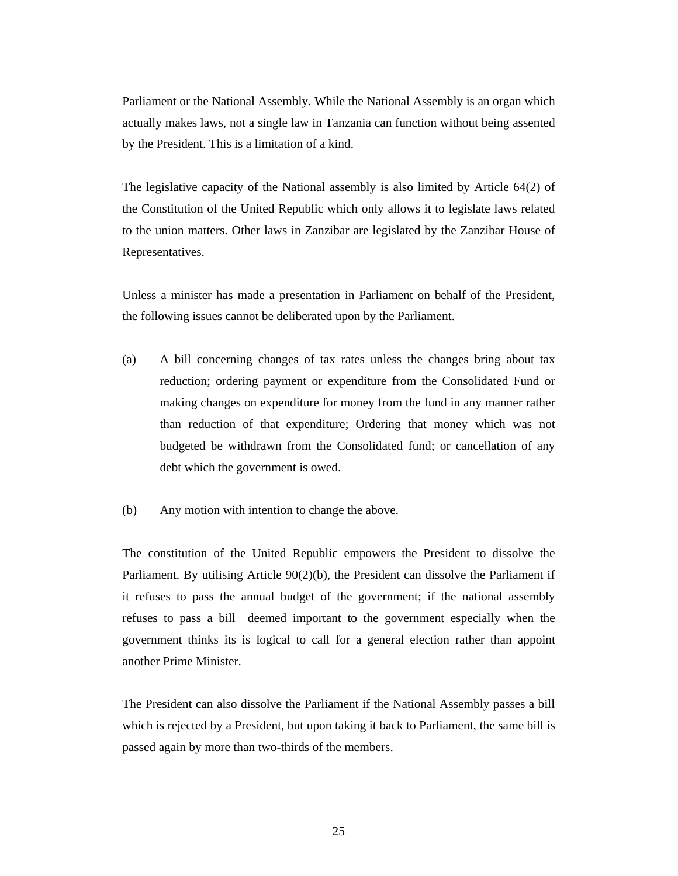Parliament or the National Assembly. While the National Assembly is an organ which actually makes laws, not a single law in Tanzania can function without being assented by the President. This is a limitation of a kind.

The legislative capacity of the National assembly is also limited by Article 64(2) of the Constitution of the United Republic which only allows it to legislate laws related to the union matters. Other laws in Zanzibar are legislated by the Zanzibar House of Representatives.

Unless a minister has made a presentation in Parliament on behalf of the President, the following issues cannot be deliberated upon by the Parliament.

- (a) A bill concerning changes of tax rates unless the changes bring about tax reduction; ordering payment or expenditure from the Consolidated Fund or making changes on expenditure for money from the fund in any manner rather than reduction of that expenditure; Ordering that money which was not budgeted be withdrawn from the Consolidated fund; or cancellation of any debt which the government is owed.
- (b) Any motion with intention to change the above.

The constitution of the United Republic empowers the President to dissolve the Parliament. By utilising Article 90(2)(b), the President can dissolve the Parliament if it refuses to pass the annual budget of the government; if the national assembly refuses to pass a bill deemed important to the government especially when the government thinks its is logical to call for a general election rather than appoint another Prime Minister.

The President can also dissolve the Parliament if the National Assembly passes a bill which is rejected by a President, but upon taking it back to Parliament, the same bill is passed again by more than two-thirds of the members.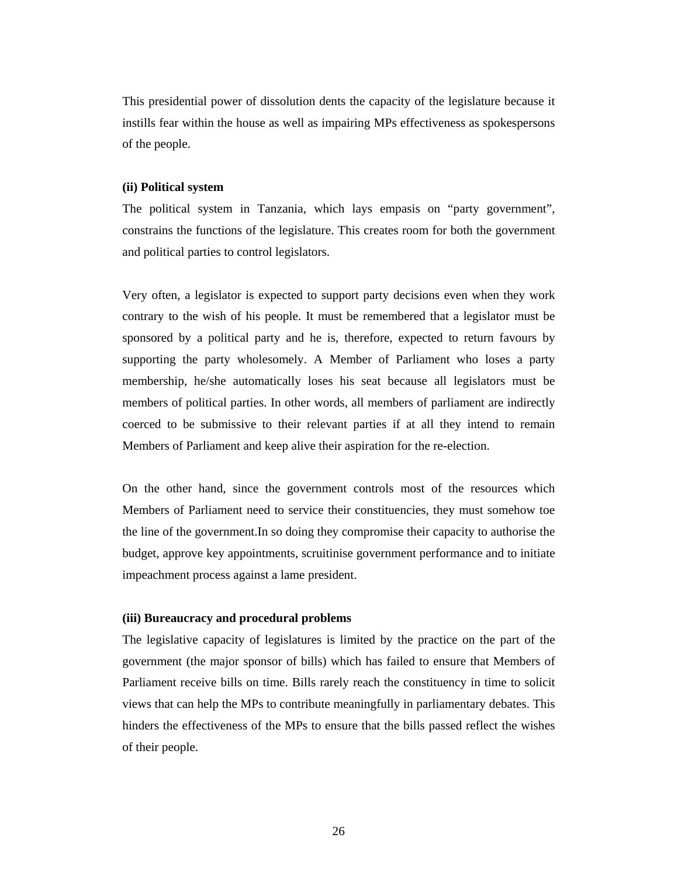This presidential power of dissolution dents the capacity of the legislature because it instills fear within the house as well as impairing MPs effectiveness as spokespersons of the people.

#### **(ii) Political system**

The political system in Tanzania, which lays empasis on "party government", constrains the functions of the legislature. This creates room for both the government and political parties to control legislators.

Very often, a legislator is expected to support party decisions even when they work contrary to the wish of his people. It must be remembered that a legislator must be sponsored by a political party and he is, therefore, expected to return favours by supporting the party wholesomely. A Member of Parliament who loses a party membership, he/she automatically loses his seat because all legislators must be members of political parties. In other words, all members of parliament are indirectly coerced to be submissive to their relevant parties if at all they intend to remain Members of Parliament and keep alive their aspiration for the re-election.

On the other hand, since the government controls most of the resources which Members of Parliament need to service their constituencies, they must somehow toe the line of the government.In so doing they compromise their capacity to authorise the budget, approve key appointments, scruitinise government performance and to initiate impeachment process against a lame president.

#### **(iii) Bureaucracy and procedural problems**

The legislative capacity of legislatures is limited by the practice on the part of the government (the major sponsor of bills) which has failed to ensure that Members of Parliament receive bills on time. Bills rarely reach the constituency in time to solicit views that can help the MPs to contribute meaningfully in parliamentary debates. This hinders the effectiveness of the MPs to ensure that the bills passed reflect the wishes of their people.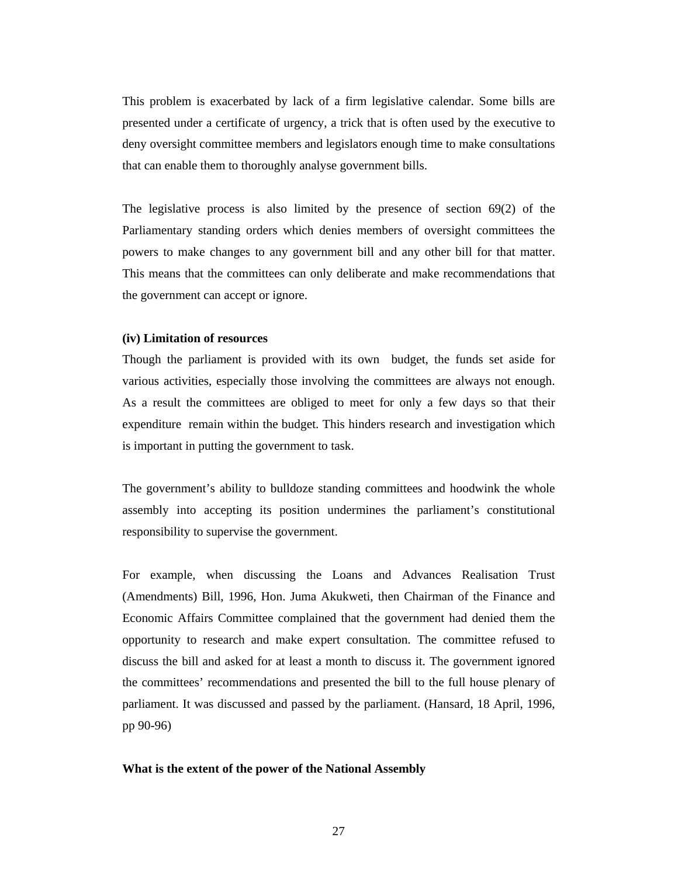This problem is exacerbated by lack of a firm legislative calendar. Some bills are presented under a certificate of urgency, a trick that is often used by the executive to deny oversight committee members and legislators enough time to make consultations that can enable them to thoroughly analyse government bills.

The legislative process is also limited by the presence of section 69(2) of the Parliamentary standing orders which denies members of oversight committees the powers to make changes to any government bill and any other bill for that matter. This means that the committees can only deliberate and make recommendations that the government can accept or ignore.

#### **(iv) Limitation of resources**

Though the parliament is provided with its own budget, the funds set aside for various activities, especially those involving the committees are always not enough. As a result the committees are obliged to meet for only a few days so that their expenditure remain within the budget. This hinders research and investigation which is important in putting the government to task.

The government's ability to bulldoze standing committees and hoodwink the whole assembly into accepting its position undermines the parliament's constitutional responsibility to supervise the government.

For example, when discussing the Loans and Advances Realisation Trust (Amendments) Bill, 1996, Hon. Juma Akukweti, then Chairman of the Finance and Economic Affairs Committee complained that the government had denied them the opportunity to research and make expert consultation. The committee refused to discuss the bill and asked for at least a month to discuss it. The government ignored the committees' recommendations and presented the bill to the full house plenary of parliament. It was discussed and passed by the parliament. (Hansard, 18 April, 1996, pp 90-96)

#### **What is the extent of the power of the National Assembly**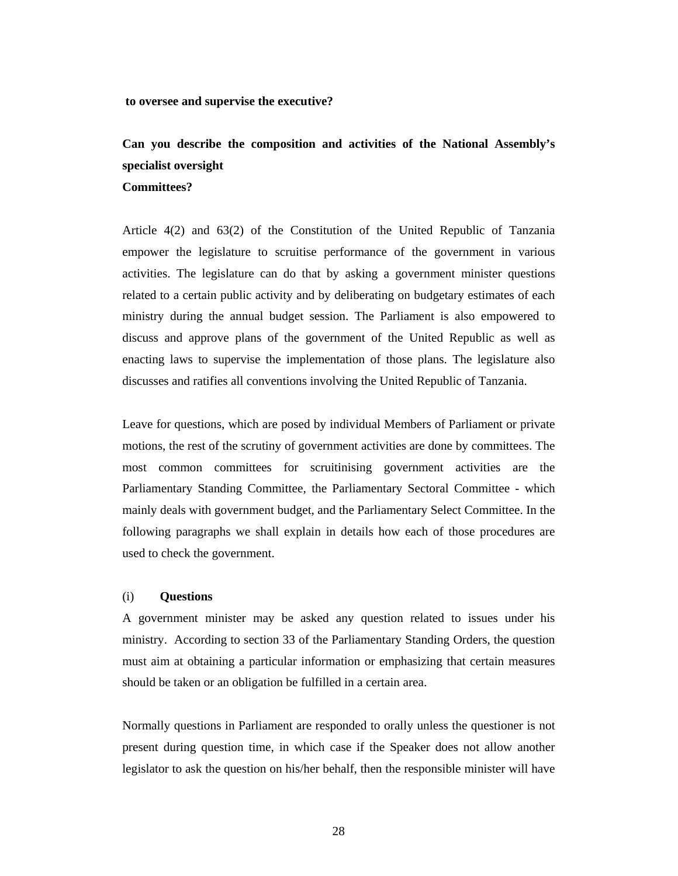**to oversee and supervise the executive?** 

## **Can you describe the composition and activities of the National Assembly's specialist oversight**

**Committees?**

Article 4(2) and 63(2) of the Constitution of the United Republic of Tanzania empower the legislature to scruitise performance of the government in various activities. The legislature can do that by asking a government minister questions related to a certain public activity and by deliberating on budgetary estimates of each ministry during the annual budget session. The Parliament is also empowered to discuss and approve plans of the government of the United Republic as well as enacting laws to supervise the implementation of those plans. The legislature also discusses and ratifies all conventions involving the United Republic of Tanzania.

Leave for questions, which are posed by individual Members of Parliament or private motions, the rest of the scrutiny of government activities are done by committees. The most common committees for scruitinising government activities are the Parliamentary Standing Committee, the Parliamentary Sectoral Committee - which mainly deals with government budget, and the Parliamentary Select Committee. In the following paragraphs we shall explain in details how each of those procedures are used to check the government.

#### (i) **Questions**

A government minister may be asked any question related to issues under his ministry. According to section 33 of the Parliamentary Standing Orders, the question must aim at obtaining a particular information or emphasizing that certain measures should be taken or an obligation be fulfilled in a certain area.

Normally questions in Parliament are responded to orally unless the questioner is not present during question time, in which case if the Speaker does not allow another legislator to ask the question on his/her behalf, then the responsible minister will have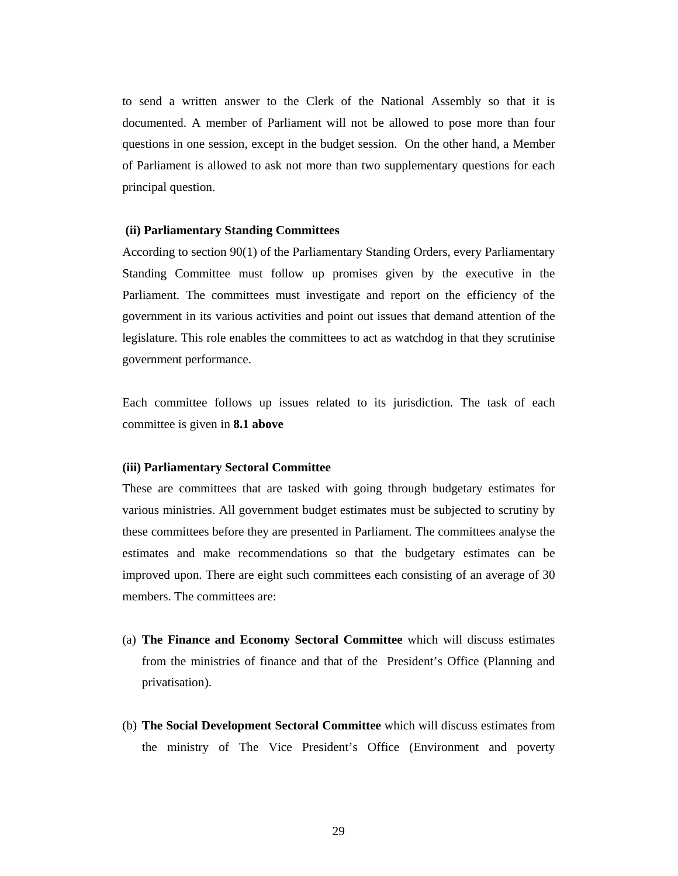to send a written answer to the Clerk of the National Assembly so that it is documented. A member of Parliament will not be allowed to pose more than four questions in one session, except in the budget session. On the other hand, a Member of Parliament is allowed to ask not more than two supplementary questions for each principal question.

#### **(ii) Parliamentary Standing Committees**

According to section 90(1) of the Parliamentary Standing Orders, every Parliamentary Standing Committee must follow up promises given by the executive in the Parliament. The committees must investigate and report on the efficiency of the government in its various activities and point out issues that demand attention of the legislature. This role enables the committees to act as watchdog in that they scrutinise government performance.

Each committee follows up issues related to its jurisdiction. The task of each committee is given in **8.1 above**

#### **(iii) Parliamentary Sectoral Committee**

These are committees that are tasked with going through budgetary estimates for various ministries. All government budget estimates must be subjected to scrutiny by these committees before they are presented in Parliament. The committees analyse the estimates and make recommendations so that the budgetary estimates can be improved upon. There are eight such committees each consisting of an average of 30 members. The committees are:

- (a) **The Finance and Economy Sectoral Committee** which will discuss estimates from the ministries of finance and that of the President's Office (Planning and privatisation).
- (b) **The Social Development Sectoral Committee** which will discuss estimates from the ministry of The Vice President's Office (Environment and poverty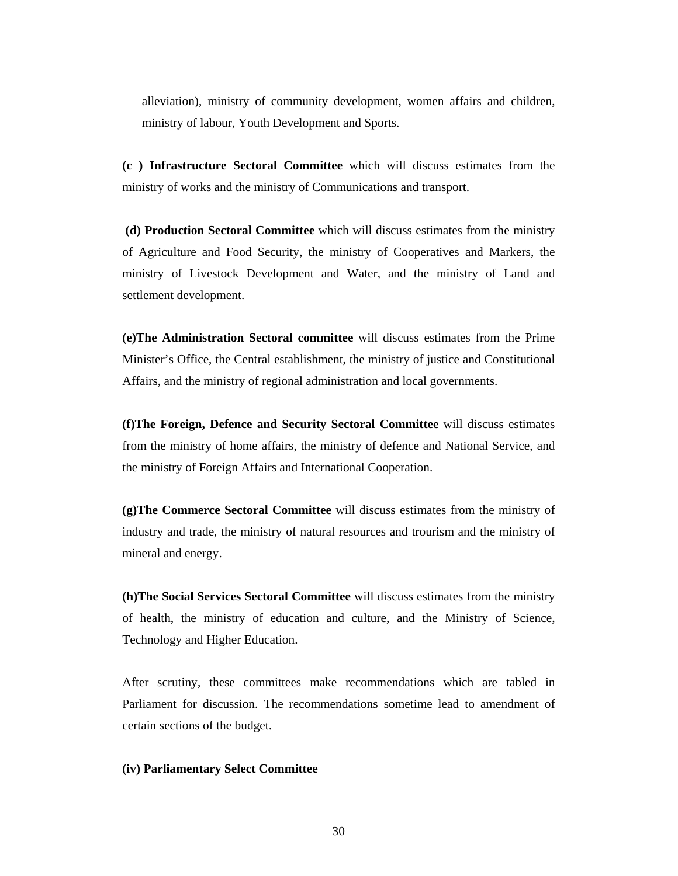alleviation), ministry of community development, women affairs and children, ministry of labour, Youth Development and Sports.

**(c ) Infrastructure Sectoral Committee** which will discuss estimates from the ministry of works and the ministry of Communications and transport.

 **(d) Production Sectoral Committee** which will discuss estimates from the ministry of Agriculture and Food Security, the ministry of Cooperatives and Markers, the ministry of Livestock Development and Water, and the ministry of Land and settlement development.

**(e)The Administration Sectoral committee** will discuss estimates from the Prime Minister's Office, the Central establishment, the ministry of justice and Constitutional Affairs, and the ministry of regional administration and local governments.

**(f)The Foreign, Defence and Security Sectoral Committee** will discuss estimates from the ministry of home affairs, the ministry of defence and National Service, and the ministry of Foreign Affairs and International Cooperation.

**(g)The Commerce Sectoral Committee** will discuss estimates from the ministry of industry and trade, the ministry of natural resources and trourism and the ministry of mineral and energy.

**(h)The Social Services Sectoral Committee** will discuss estimates from the ministry of health, the ministry of education and culture, and the Ministry of Science, Technology and Higher Education.

After scrutiny, these committees make recommendations which are tabled in Parliament for discussion. The recommendations sometime lead to amendment of certain sections of the budget.

#### **(iv) Parliamentary Select Committee**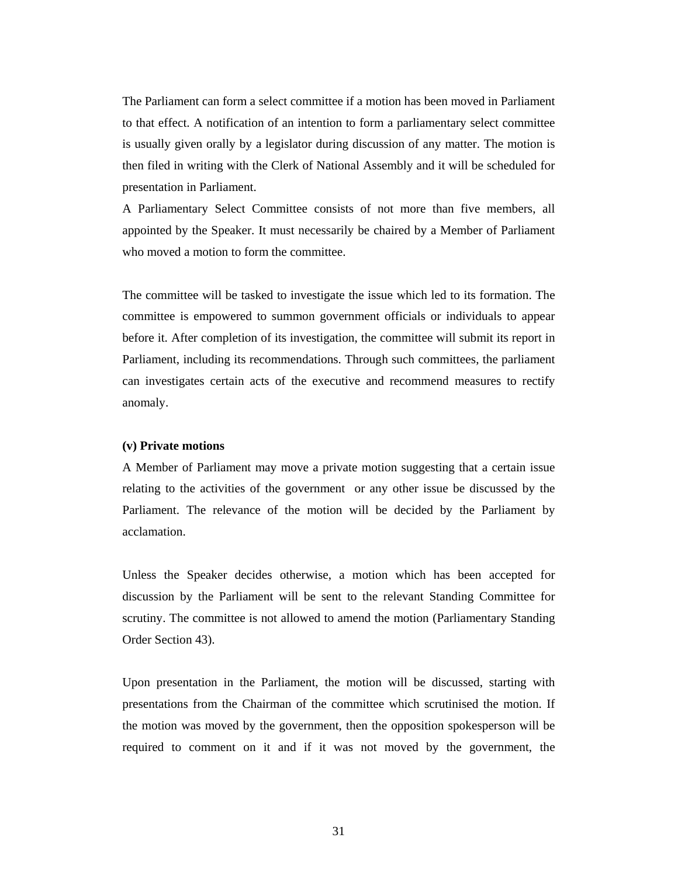The Parliament can form a select committee if a motion has been moved in Parliament to that effect. A notification of an intention to form a parliamentary select committee is usually given orally by a legislator during discussion of any matter. The motion is then filed in writing with the Clerk of National Assembly and it will be scheduled for presentation in Parliament.

A Parliamentary Select Committee consists of not more than five members, all appointed by the Speaker. It must necessarily be chaired by a Member of Parliament who moved a motion to form the committee.

The committee will be tasked to investigate the issue which led to its formation. The committee is empowered to summon government officials or individuals to appear before it. After completion of its investigation, the committee will submit its report in Parliament, including its recommendations. Through such committees, the parliament can investigates certain acts of the executive and recommend measures to rectify anomaly.

#### **(v) Private motions**

A Member of Parliament may move a private motion suggesting that a certain issue relating to the activities of the government or any other issue be discussed by the Parliament. The relevance of the motion will be decided by the Parliament by acclamation.

Unless the Speaker decides otherwise, a motion which has been accepted for discussion by the Parliament will be sent to the relevant Standing Committee for scrutiny. The committee is not allowed to amend the motion (Parliamentary Standing Order Section 43).

Upon presentation in the Parliament, the motion will be discussed, starting with presentations from the Chairman of the committee which scrutinised the motion. If the motion was moved by the government, then the opposition spokesperson will be required to comment on it and if it was not moved by the government, the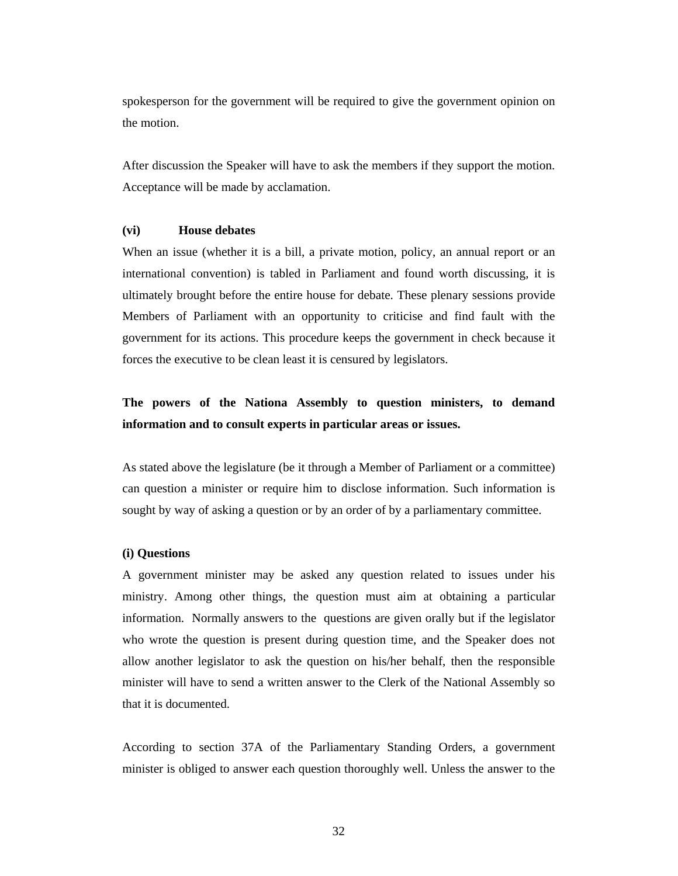spokesperson for the government will be required to give the government opinion on the motion.

After discussion the Speaker will have to ask the members if they support the motion. Acceptance will be made by acclamation.

#### **(vi) House debates**

When an issue (whether it is a bill, a private motion, policy, an annual report or an international convention) is tabled in Parliament and found worth discussing, it is ultimately brought before the entire house for debate. These plenary sessions provide Members of Parliament with an opportunity to criticise and find fault with the government for its actions. This procedure keeps the government in check because it forces the executive to be clean least it is censured by legislators.

## **The powers of the Nationa Assembly to question ministers, to demand information and to consult experts in particular areas or issues.**

As stated above the legislature (be it through a Member of Parliament or a committee) can question a minister or require him to disclose information. Such information is sought by way of asking a question or by an order of by a parliamentary committee.

#### **(i) Questions**

A government minister may be asked any question related to issues under his ministry. Among other things, the question must aim at obtaining a particular information. Normally answers to the questions are given orally but if the legislator who wrote the question is present during question time, and the Speaker does not allow another legislator to ask the question on his/her behalf, then the responsible minister will have to send a written answer to the Clerk of the National Assembly so that it is documented.

According to section 37A of the Parliamentary Standing Orders, a government minister is obliged to answer each question thoroughly well. Unless the answer to the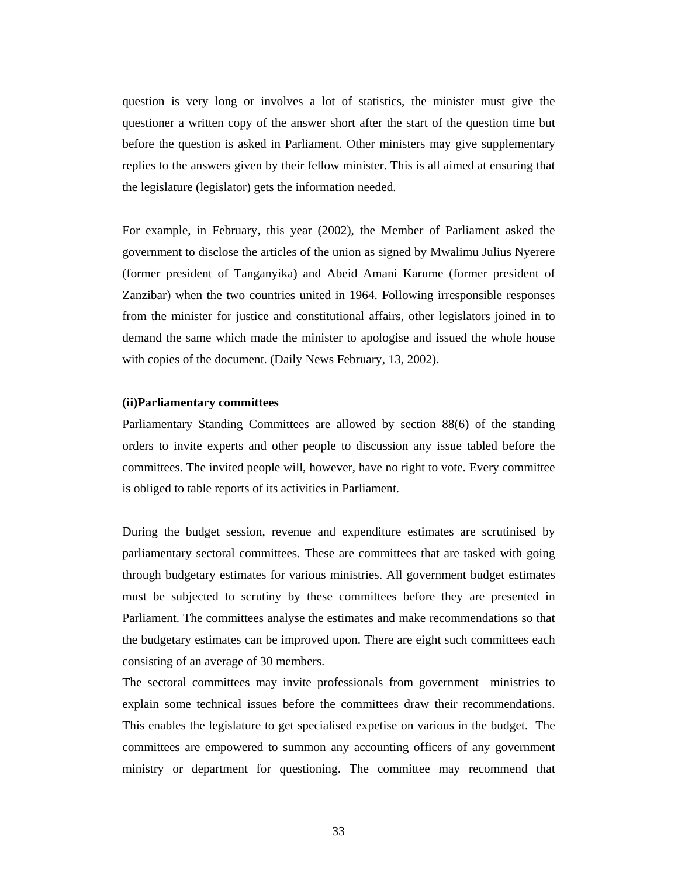question is very long or involves a lot of statistics, the minister must give the questioner a written copy of the answer short after the start of the question time but before the question is asked in Parliament. Other ministers may give supplementary replies to the answers given by their fellow minister. This is all aimed at ensuring that the legislature (legislator) gets the information needed.

For example, in February, this year (2002), the Member of Parliament asked the government to disclose the articles of the union as signed by Mwalimu Julius Nyerere (former president of Tanganyika) and Abeid Amani Karume (former president of Zanzibar) when the two countries united in 1964. Following irresponsible responses from the minister for justice and constitutional affairs, other legislators joined in to demand the same which made the minister to apologise and issued the whole house with copies of the document. (Daily News February, 13, 2002).

#### **(ii)Parliamentary committees**

Parliamentary Standing Committees are allowed by section 88(6) of the standing orders to invite experts and other people to discussion any issue tabled before the committees. The invited people will, however, have no right to vote. Every committee is obliged to table reports of its activities in Parliament.

During the budget session, revenue and expenditure estimates are scrutinised by parliamentary sectoral committees. These are committees that are tasked with going through budgetary estimates for various ministries. All government budget estimates must be subjected to scrutiny by these committees before they are presented in Parliament. The committees analyse the estimates and make recommendations so that the budgetary estimates can be improved upon. There are eight such committees each consisting of an average of 30 members.

The sectoral committees may invite professionals from government ministries to explain some technical issues before the committees draw their recommendations. This enables the legislature to get specialised expetise on various in the budget. The committees are empowered to summon any accounting officers of any government ministry or department for questioning. The committee may recommend that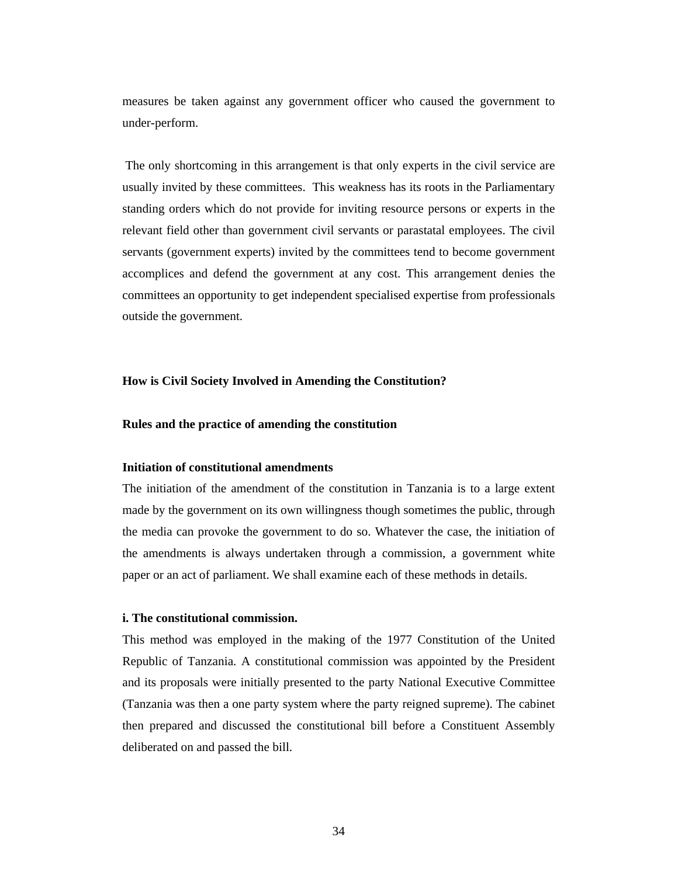measures be taken against any government officer who caused the government to under-perform.

 The only shortcoming in this arrangement is that only experts in the civil service are usually invited by these committees. This weakness has its roots in the Parliamentary standing orders which do not provide for inviting resource persons or experts in the relevant field other than government civil servants or parastatal employees. The civil servants (government experts) invited by the committees tend to become government accomplices and defend the government at any cost. This arrangement denies the committees an opportunity to get independent specialised expertise from professionals outside the government.

#### **How is Civil Society Involved in Amending the Constitution?**

#### **Rules and the practice of amending the constitution**

#### **Initiation of constitutional amendments**

The initiation of the amendment of the constitution in Tanzania is to a large extent made by the government on its own willingness though sometimes the public, through the media can provoke the government to do so. Whatever the case, the initiation of the amendments is always undertaken through a commission, a government white paper or an act of parliament. We shall examine each of these methods in details.

#### **i. The constitutional commission.**

This method was employed in the making of the 1977 Constitution of the United Republic of Tanzania. A constitutional commission was appointed by the President and its proposals were initially presented to the party National Executive Committee (Tanzania was then a one party system where the party reigned supreme). The cabinet then prepared and discussed the constitutional bill before a Constituent Assembly deliberated on and passed the bill.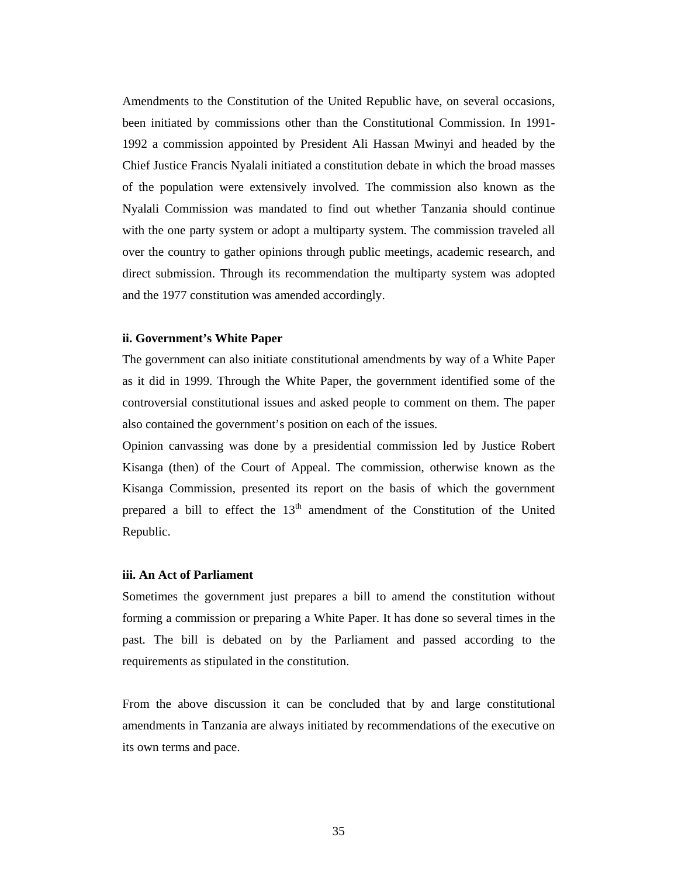Amendments to the Constitution of the United Republic have, on several occasions, been initiated by commissions other than the Constitutional Commission. In 1991- 1992 a commission appointed by President Ali Hassan Mwinyi and headed by the Chief Justice Francis Nyalali initiated a constitution debate in which the broad masses of the population were extensively involved. The commission also known as the Nyalali Commission was mandated to find out whether Tanzania should continue with the one party system or adopt a multiparty system. The commission traveled all over the country to gather opinions through public meetings, academic research, and direct submission. Through its recommendation the multiparty system was adopted and the 1977 constitution was amended accordingly.

#### **ii. Government's White Paper**

The government can also initiate constitutional amendments by way of a White Paper as it did in 1999. Through the White Paper, the government identified some of the controversial constitutional issues and asked people to comment on them. The paper also contained the government's position on each of the issues.

Opinion canvassing was done by a presidential commission led by Justice Robert Kisanga (then) of the Court of Appeal. The commission, otherwise known as the Kisanga Commission, presented its report on the basis of which the government prepared a bill to effect the  $13<sup>th</sup>$  amendment of the Constitution of the United Republic.

#### **iii. An Act of Parliament**

Sometimes the government just prepares a bill to amend the constitution without forming a commission or preparing a White Paper. It has done so several times in the past. The bill is debated on by the Parliament and passed according to the requirements as stipulated in the constitution.

From the above discussion it can be concluded that by and large constitutional amendments in Tanzania are always initiated by recommendations of the executive on its own terms and pace.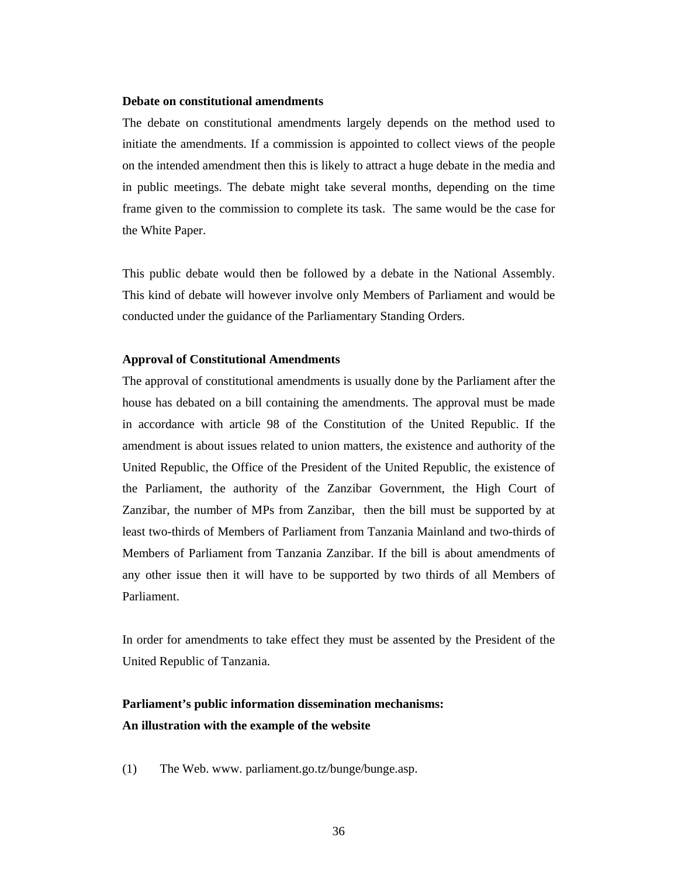#### **Debate on constitutional amendments**

The debate on constitutional amendments largely depends on the method used to initiate the amendments. If a commission is appointed to collect views of the people on the intended amendment then this is likely to attract a huge debate in the media and in public meetings. The debate might take several months, depending on the time frame given to the commission to complete its task. The same would be the case for the White Paper.

This public debate would then be followed by a debate in the National Assembly. This kind of debate will however involve only Members of Parliament and would be conducted under the guidance of the Parliamentary Standing Orders.

#### **Approval of Constitutional Amendments**

The approval of constitutional amendments is usually done by the Parliament after the house has debated on a bill containing the amendments. The approval must be made in accordance with article 98 of the Constitution of the United Republic. If the amendment is about issues related to union matters, the existence and authority of the United Republic, the Office of the President of the United Republic, the existence of the Parliament, the authority of the Zanzibar Government, the High Court of Zanzibar, the number of MPs from Zanzibar, then the bill must be supported by at least two-thirds of Members of Parliament from Tanzania Mainland and two-thirds of Members of Parliament from Tanzania Zanzibar. If the bill is about amendments of any other issue then it will have to be supported by two thirds of all Members of Parliament.

In order for amendments to take effect they must be assented by the President of the United Republic of Tanzania.

## **Parliament's public information dissemination mechanisms: An illustration with the example of the website**

(1) The Web. www. parliament.go.tz/bunge/bunge.asp.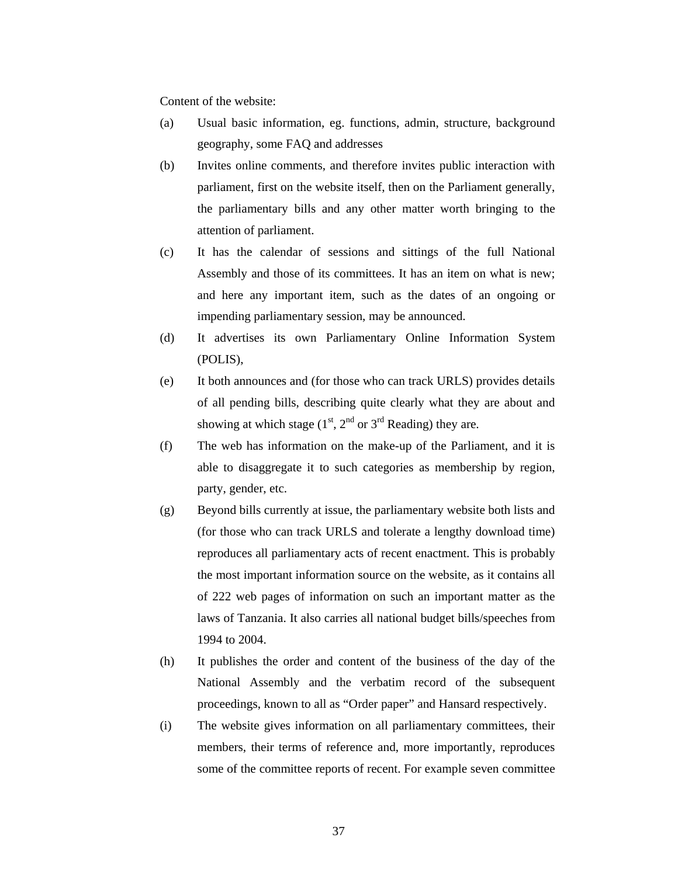Content of the website:

- (a) Usual basic information, eg. functions, admin, structure, background geography, some FAQ and addresses
- (b) Invites online comments, and therefore invites public interaction with parliament, first on the website itself, then on the Parliament generally, the parliamentary bills and any other matter worth bringing to the attention of parliament.
- (c) It has the calendar of sessions and sittings of the full National Assembly and those of its committees. It has an item on what is new; and here any important item, such as the dates of an ongoing or impending parliamentary session, may be announced.
- (d) It advertises its own Parliamentary Online Information System (POLIS),
- (e) It both announces and (for those who can track URLS) provides details of all pending bills, describing quite clearly what they are about and showing at which stage  $(1<sup>st</sup>, 2<sup>nd</sup>$  or  $3<sup>rd</sup>$  Reading) they are.
- (f) The web has information on the make-up of the Parliament, and it is able to disaggregate it to such categories as membership by region, party, gender, etc.
- (g) Beyond bills currently at issue, the parliamentary website both lists and (for those who can track URLS and tolerate a lengthy download time) reproduces all parliamentary acts of recent enactment. This is probably the most important information source on the website, as it contains all of 222 web pages of information on such an important matter as the laws of Tanzania. It also carries all national budget bills/speeches from 1994 to 2004.
- (h) It publishes the order and content of the business of the day of the National Assembly and the verbatim record of the subsequent proceedings, known to all as "Order paper" and Hansard respectively.
- (i) The website gives information on all parliamentary committees, their members, their terms of reference and, more importantly, reproduces some of the committee reports of recent. For example seven committee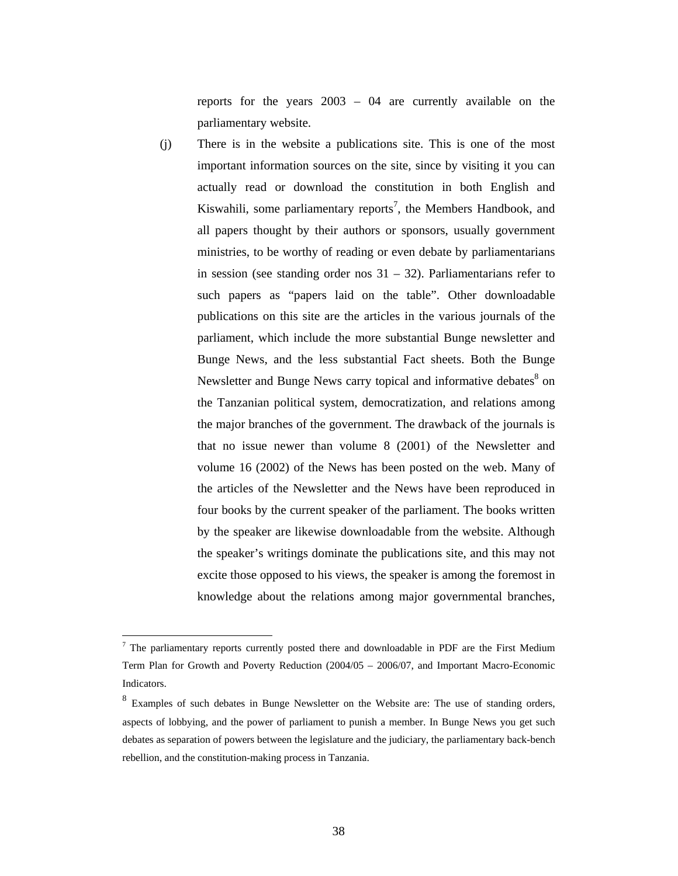reports for the years 2003 – 04 are currently available on the parliamentary website.

(j) There is in the website a publications site. This is one of the most important information sources on the site, since by visiting it you can actually read or download the constitution in both English and Kiswahili, some parliamentary reports<sup>7</sup>, the Members Handbook, and all papers thought by their authors or sponsors, usually government ministries, to be worthy of reading or even debate by parliamentarians in session (see standing order nos  $31 - 32$ ). Parliamentarians refer to such papers as "papers laid on the table". Other downloadable publications on this site are the articles in the various journals of the parliament, which include the more substantial Bunge newsletter and Bunge News, and the less substantial Fact sheets. Both the Bunge Newsletter and Bunge News carry topical and informative debates<sup>8</sup> on the Tanzanian political system, democratization, and relations among the major branches of the government. The drawback of the journals is that no issue newer than volume 8 (2001) of the Newsletter and volume 16 (2002) of the News has been posted on the web. Many of the articles of the Newsletter and the News have been reproduced in four books by the current speaker of the parliament. The books written by the speaker are likewise downloadable from the website. Although the speaker's writings dominate the publications site, and this may not excite those opposed to his views, the speaker is among the foremost in knowledge about the relations among major governmental branches,

<sup>&</sup>lt;sup>7</sup> The parliamentary reports currently posted there and downloadable in PDF are the First Medium Term Plan for Growth and Poverty Reduction (2004/05 – 2006/07, and Important Macro-Economic Indicators.

<sup>&</sup>lt;sup>8</sup> Examples of such debates in Bunge Newsletter on the Website are: The use of standing orders, aspects of lobbying, and the power of parliament to punish a member. In Bunge News you get such debates as separation of powers between the legislature and the judiciary, the parliamentary back-bench rebellion, and the constitution-making process in Tanzania.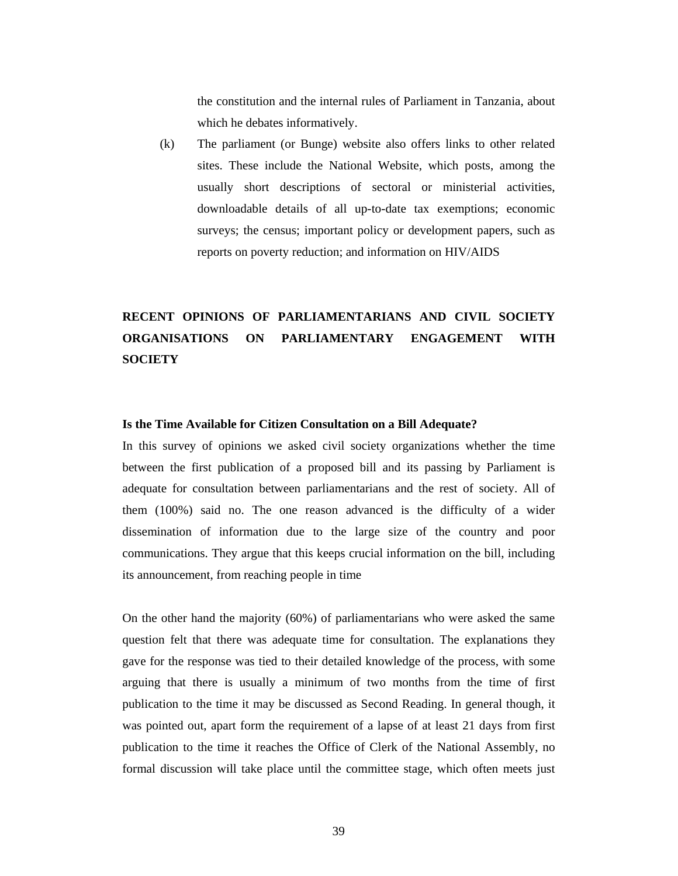the constitution and the internal rules of Parliament in Tanzania, about which he debates informatively.

(k) The parliament (or Bunge) website also offers links to other related sites. These include the National Website, which posts, among the usually short descriptions of sectoral or ministerial activities, downloadable details of all up-to-date tax exemptions; economic surveys; the census; important policy or development papers, such as reports on poverty reduction; and information on HIV/AIDS

## **RECENT OPINIONS OF PARLIAMENTARIANS AND CIVIL SOCIETY ORGANISATIONS ON PARLIAMENTARY ENGAGEMENT WITH SOCIETY**

#### **Is the Time Available for Citizen Consultation on a Bill Adequate?**

In this survey of opinions we asked civil society organizations whether the time between the first publication of a proposed bill and its passing by Parliament is adequate for consultation between parliamentarians and the rest of society. All of them (100%) said no. The one reason advanced is the difficulty of a wider dissemination of information due to the large size of the country and poor communications. They argue that this keeps crucial information on the bill, including its announcement, from reaching people in time

On the other hand the majority (60%) of parliamentarians who were asked the same question felt that there was adequate time for consultation. The explanations they gave for the response was tied to their detailed knowledge of the process, with some arguing that there is usually a minimum of two months from the time of first publication to the time it may be discussed as Second Reading. In general though, it was pointed out, apart form the requirement of a lapse of at least 21 days from first publication to the time it reaches the Office of Clerk of the National Assembly, no formal discussion will take place until the committee stage, which often meets just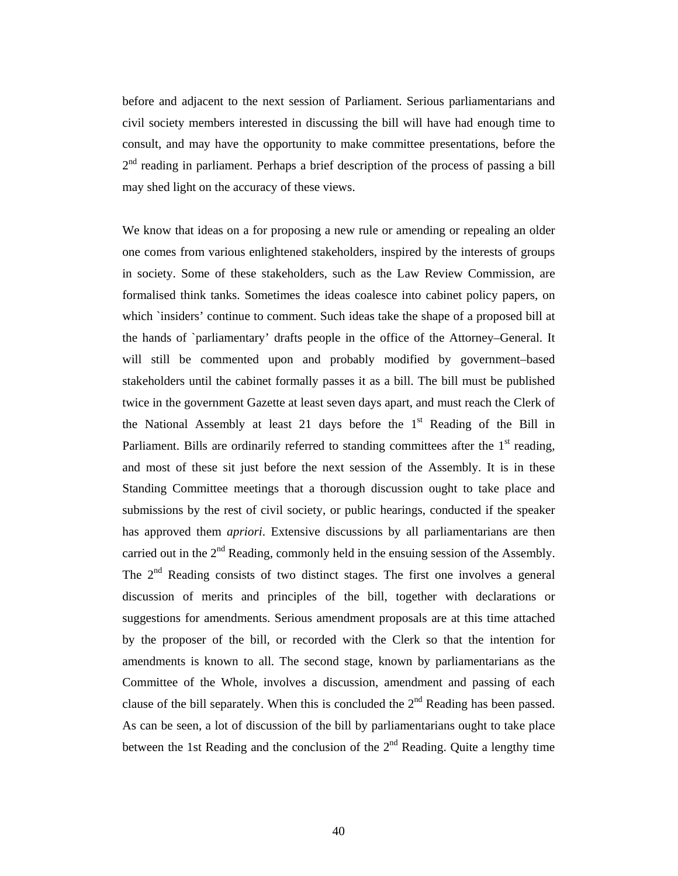before and adjacent to the next session of Parliament. Serious parliamentarians and civil society members interested in discussing the bill will have had enough time to consult, and may have the opportunity to make committee presentations, before the  $2<sup>nd</sup>$  reading in parliament. Perhaps a brief description of the process of passing a bill may shed light on the accuracy of these views.

We know that ideas on a for proposing a new rule or amending or repealing an older one comes from various enlightened stakeholders, inspired by the interests of groups in society. Some of these stakeholders, such as the Law Review Commission, are formalised think tanks. Sometimes the ideas coalesce into cabinet policy papers, on which `insiders' continue to comment. Such ideas take the shape of a proposed bill at the hands of `parliamentary' drafts people in the office of the Attorney–General. It will still be commented upon and probably modified by government–based stakeholders until the cabinet formally passes it as a bill. The bill must be published twice in the government Gazette at least seven days apart, and must reach the Clerk of the National Assembly at least 21 days before the  $1<sup>st</sup>$  Reading of the Bill in Parliament. Bills are ordinarily referred to standing committees after the  $1<sup>st</sup>$  reading, and most of these sit just before the next session of the Assembly. It is in these Standing Committee meetings that a thorough discussion ought to take place and submissions by the rest of civil society, or public hearings, conducted if the speaker has approved them *apriori*. Extensive discussions by all parliamentarians are then carried out in the  $2<sup>nd</sup>$  Reading, commonly held in the ensuing session of the Assembly. The  $2<sup>nd</sup>$  Reading consists of two distinct stages. The first one involves a general discussion of merits and principles of the bill, together with declarations or suggestions for amendments. Serious amendment proposals are at this time attached by the proposer of the bill, or recorded with the Clerk so that the intention for amendments is known to all. The second stage, known by parliamentarians as the Committee of the Whole, involves a discussion, amendment and passing of each clause of the bill separately. When this is concluded the  $2<sup>nd</sup>$  Reading has been passed. As can be seen, a lot of discussion of the bill by parliamentarians ought to take place between the 1st Reading and the conclusion of the  $2<sup>nd</sup>$  Reading. Quite a lengthy time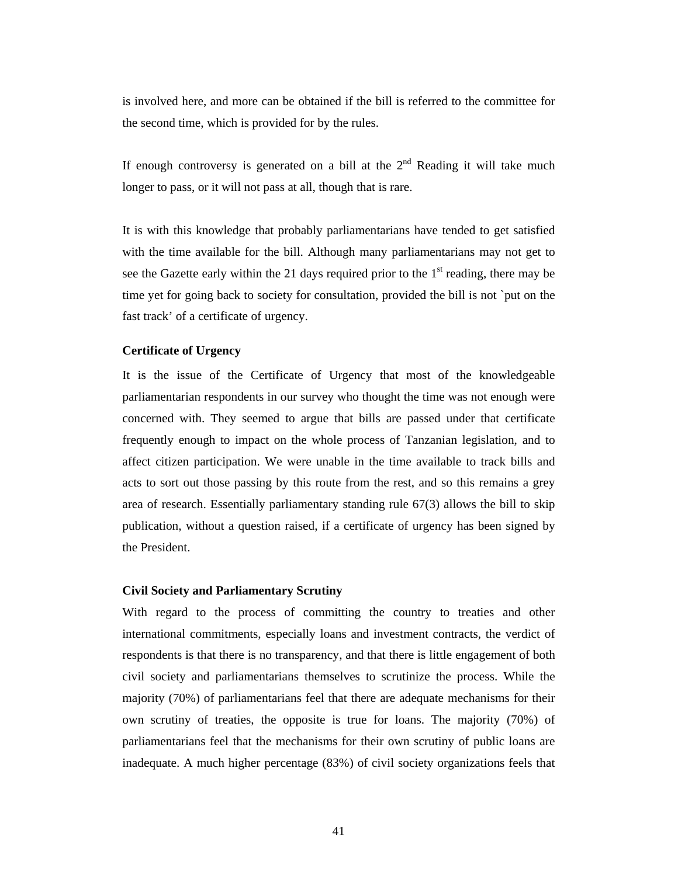is involved here, and more can be obtained if the bill is referred to the committee for the second time, which is provided for by the rules.

If enough controversy is generated on a bill at the  $2<sup>nd</sup>$  Reading it will take much longer to pass, or it will not pass at all, though that is rare.

It is with this knowledge that probably parliamentarians have tended to get satisfied with the time available for the bill. Although many parliamentarians may not get to see the Gazette early within the 21 days required prior to the  $1<sup>st</sup>$  reading, there may be time yet for going back to society for consultation, provided the bill is not `put on the fast track' of a certificate of urgency.

#### **Certificate of Urgency**

It is the issue of the Certificate of Urgency that most of the knowledgeable parliamentarian respondents in our survey who thought the time was not enough were concerned with. They seemed to argue that bills are passed under that certificate frequently enough to impact on the whole process of Tanzanian legislation, and to affect citizen participation. We were unable in the time available to track bills and acts to sort out those passing by this route from the rest, and so this remains a grey area of research. Essentially parliamentary standing rule 67(3) allows the bill to skip publication, without a question raised, if a certificate of urgency has been signed by the President.

#### **Civil Society and Parliamentary Scrutiny**

With regard to the process of committing the country to treaties and other international commitments, especially loans and investment contracts, the verdict of respondents is that there is no transparency, and that there is little engagement of both civil society and parliamentarians themselves to scrutinize the process. While the majority (70%) of parliamentarians feel that there are adequate mechanisms for their own scrutiny of treaties, the opposite is true for loans. The majority (70%) of parliamentarians feel that the mechanisms for their own scrutiny of public loans are inadequate. A much higher percentage (83%) of civil society organizations feels that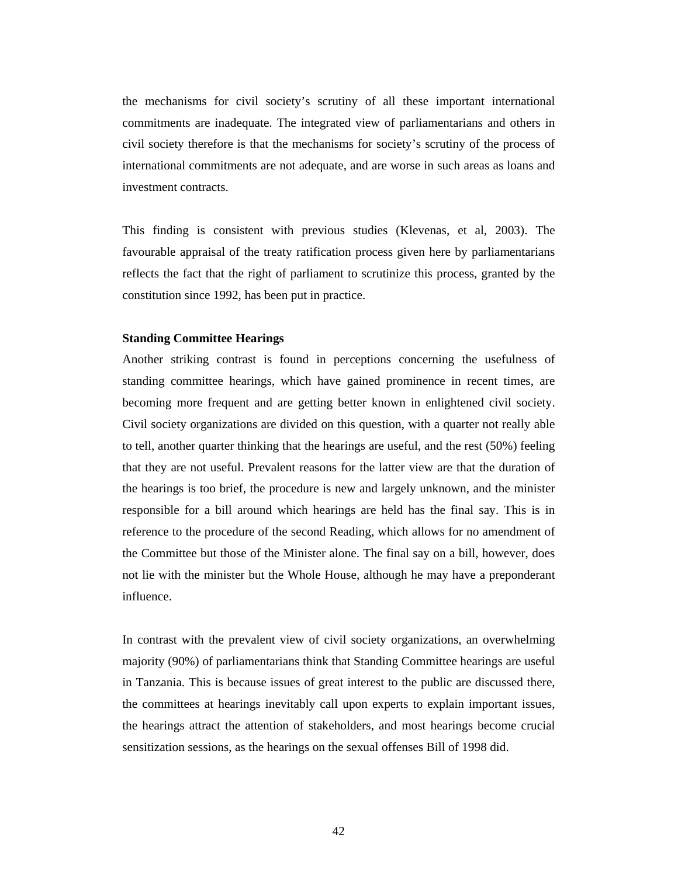the mechanisms for civil society's scrutiny of all these important international commitments are inadequate. The integrated view of parliamentarians and others in civil society therefore is that the mechanisms for society's scrutiny of the process of international commitments are not adequate, and are worse in such areas as loans and investment contracts.

This finding is consistent with previous studies (Klevenas, et al, 2003). The favourable appraisal of the treaty ratification process given here by parliamentarians reflects the fact that the right of parliament to scrutinize this process, granted by the constitution since 1992, has been put in practice.

#### **Standing Committee Hearings**

Another striking contrast is found in perceptions concerning the usefulness of standing committee hearings, which have gained prominence in recent times, are becoming more frequent and are getting better known in enlightened civil society. Civil society organizations are divided on this question, with a quarter not really able to tell, another quarter thinking that the hearings are useful, and the rest (50%) feeling that they are not useful. Prevalent reasons for the latter view are that the duration of the hearings is too brief, the procedure is new and largely unknown, and the minister responsible for a bill around which hearings are held has the final say. This is in reference to the procedure of the second Reading, which allows for no amendment of the Committee but those of the Minister alone. The final say on a bill, however, does not lie with the minister but the Whole House, although he may have a preponderant influence.

In contrast with the prevalent view of civil society organizations, an overwhelming majority (90%) of parliamentarians think that Standing Committee hearings are useful in Tanzania. This is because issues of great interest to the public are discussed there, the committees at hearings inevitably call upon experts to explain important issues, the hearings attract the attention of stakeholders, and most hearings become crucial sensitization sessions, as the hearings on the sexual offenses Bill of 1998 did.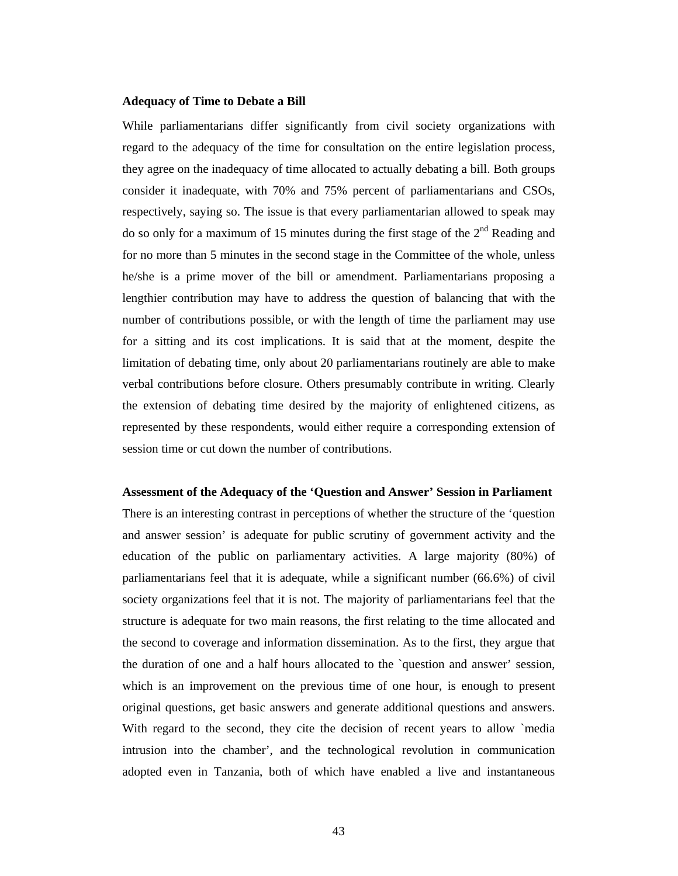#### **Adequacy of Time to Debate a Bill**

While parliamentarians differ significantly from civil society organizations with regard to the adequacy of the time for consultation on the entire legislation process, they agree on the inadequacy of time allocated to actually debating a bill. Both groups consider it inadequate, with 70% and 75% percent of parliamentarians and CSOs, respectively, saying so. The issue is that every parliamentarian allowed to speak may do so only for a maximum of 15 minutes during the first stage of the  $2<sup>nd</sup>$  Reading and for no more than 5 minutes in the second stage in the Committee of the whole, unless he/she is a prime mover of the bill or amendment. Parliamentarians proposing a lengthier contribution may have to address the question of balancing that with the number of contributions possible, or with the length of time the parliament may use for a sitting and its cost implications. It is said that at the moment, despite the limitation of debating time, only about 20 parliamentarians routinely are able to make verbal contributions before closure. Others presumably contribute in writing. Clearly the extension of debating time desired by the majority of enlightened citizens, as represented by these respondents, would either require a corresponding extension of session time or cut down the number of contributions.

**Assessment of the Adequacy of the 'Question and Answer' Session in Parliament**  There is an interesting contrast in perceptions of whether the structure of the 'question and answer session' is adequate for public scrutiny of government activity and the education of the public on parliamentary activities. A large majority (80%) of parliamentarians feel that it is adequate, while a significant number (66.6%) of civil society organizations feel that it is not. The majority of parliamentarians feel that the structure is adequate for two main reasons, the first relating to the time allocated and the second to coverage and information dissemination. As to the first, they argue that the duration of one and a half hours allocated to the `question and answer' session, which is an improvement on the previous time of one hour, is enough to present original questions, get basic answers and generate additional questions and answers. With regard to the second, they cite the decision of recent years to allow `media intrusion into the chamber', and the technological revolution in communication adopted even in Tanzania, both of which have enabled a live and instantaneous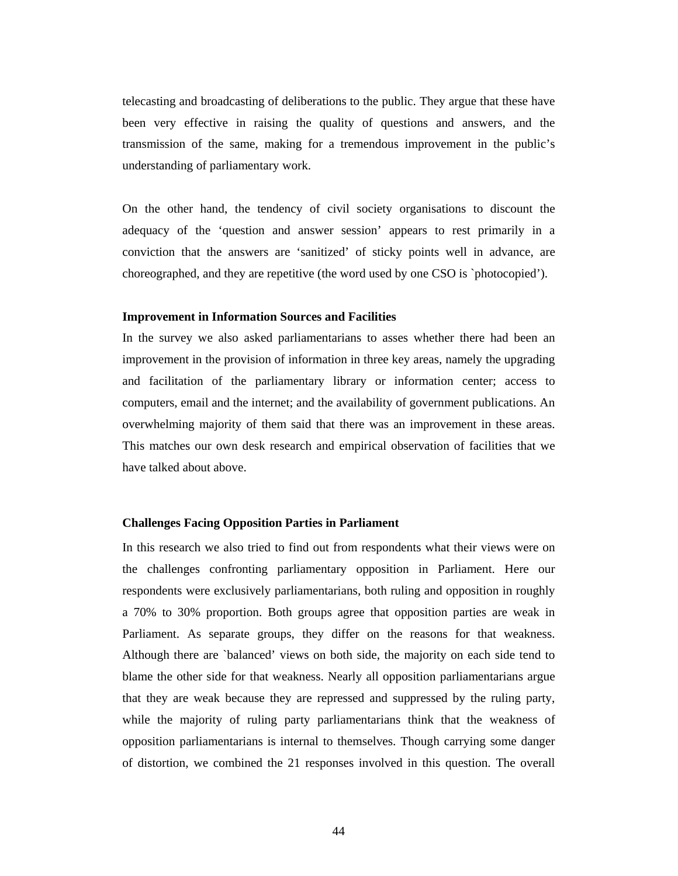telecasting and broadcasting of deliberations to the public. They argue that these have been very effective in raising the quality of questions and answers, and the transmission of the same, making for a tremendous improvement in the public's understanding of parliamentary work.

On the other hand, the tendency of civil society organisations to discount the adequacy of the 'question and answer session' appears to rest primarily in a conviction that the answers are 'sanitized' of sticky points well in advance, are choreographed, and they are repetitive (the word used by one CSO is `photocopied').

#### **Improvement in Information Sources and Facilities**

In the survey we also asked parliamentarians to asses whether there had been an improvement in the provision of information in three key areas, namely the upgrading and facilitation of the parliamentary library or information center; access to computers, email and the internet; and the availability of government publications. An overwhelming majority of them said that there was an improvement in these areas. This matches our own desk research and empirical observation of facilities that we have talked about above.

#### **Challenges Facing Opposition Parties in Parliament**

In this research we also tried to find out from respondents what their views were on the challenges confronting parliamentary opposition in Parliament. Here our respondents were exclusively parliamentarians, both ruling and opposition in roughly a 70% to 30% proportion. Both groups agree that opposition parties are weak in Parliament. As separate groups, they differ on the reasons for that weakness. Although there are `balanced' views on both side, the majority on each side tend to blame the other side for that weakness. Nearly all opposition parliamentarians argue that they are weak because they are repressed and suppressed by the ruling party, while the majority of ruling party parliamentarians think that the weakness of opposition parliamentarians is internal to themselves. Though carrying some danger of distortion, we combined the 21 responses involved in this question. The overall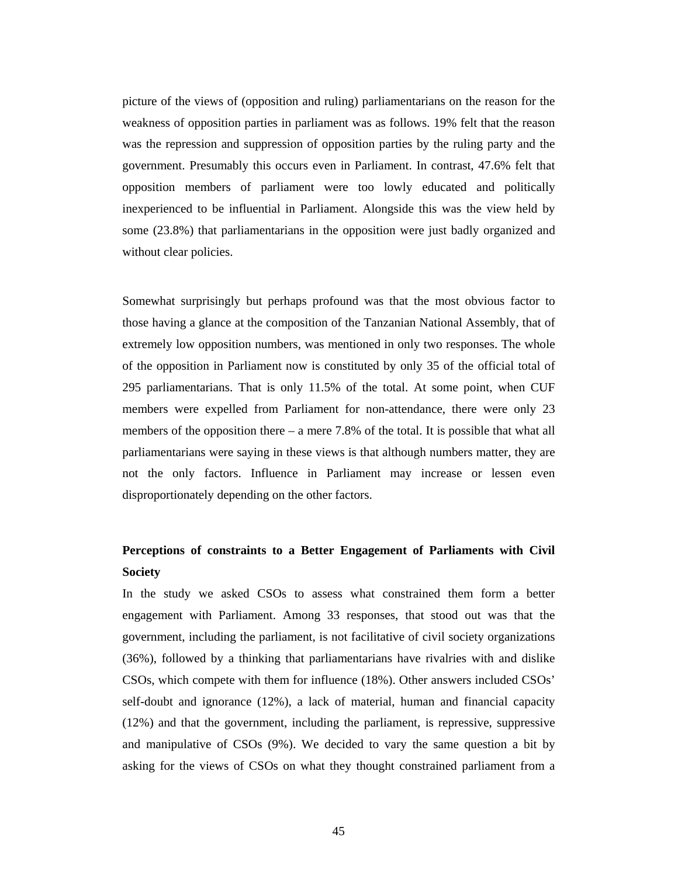picture of the views of (opposition and ruling) parliamentarians on the reason for the weakness of opposition parties in parliament was as follows. 19% felt that the reason was the repression and suppression of opposition parties by the ruling party and the government. Presumably this occurs even in Parliament. In contrast, 47.6% felt that opposition members of parliament were too lowly educated and politically inexperienced to be influential in Parliament. Alongside this was the view held by some (23.8%) that parliamentarians in the opposition were just badly organized and without clear policies.

Somewhat surprisingly but perhaps profound was that the most obvious factor to those having a glance at the composition of the Tanzanian National Assembly, that of extremely low opposition numbers, was mentioned in only two responses. The whole of the opposition in Parliament now is constituted by only 35 of the official total of 295 parliamentarians. That is only 11.5% of the total. At some point, when CUF members were expelled from Parliament for non-attendance, there were only 23 members of the opposition there – a mere 7.8% of the total. It is possible that what all parliamentarians were saying in these views is that although numbers matter, they are not the only factors. Influence in Parliament may increase or lessen even disproportionately depending on the other factors.

### **Perceptions of constraints to a Better Engagement of Parliaments with Civil Society**

In the study we asked CSOs to assess what constrained them form a better engagement with Parliament. Among 33 responses, that stood out was that the government, including the parliament, is not facilitative of civil society organizations (36%), followed by a thinking that parliamentarians have rivalries with and dislike CSOs, which compete with them for influence (18%). Other answers included CSOs' self-doubt and ignorance (12%), a lack of material, human and financial capacity (12%) and that the government, including the parliament, is repressive, suppressive and manipulative of CSOs (9%). We decided to vary the same question a bit by asking for the views of CSOs on what they thought constrained parliament from a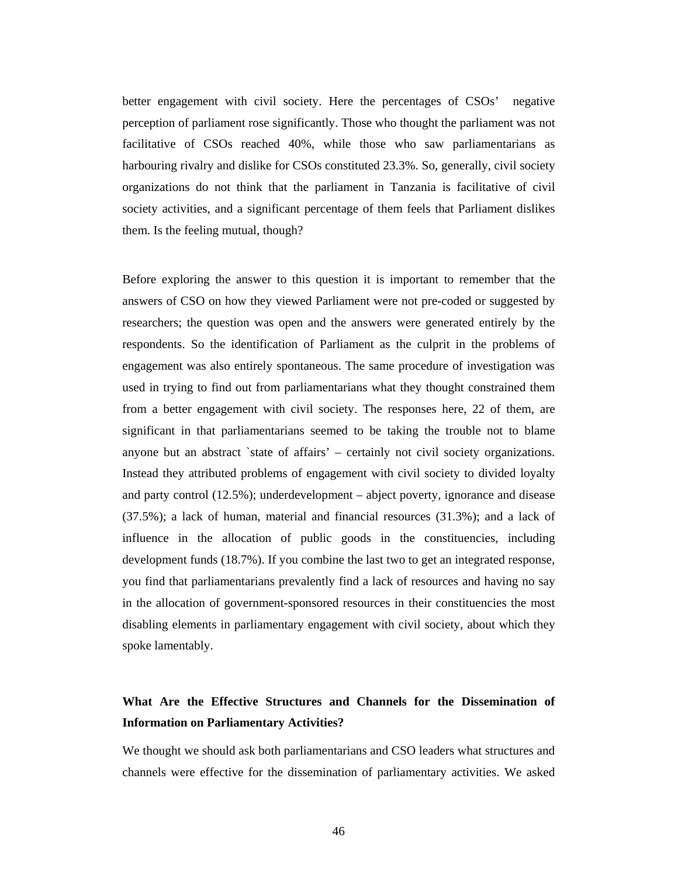better engagement with civil society. Here the percentages of CSOs' negative perception of parliament rose significantly. Those who thought the parliament was not facilitative of CSOs reached 40%, while those who saw parliamentarians as harbouring rivalry and dislike for CSOs constituted 23.3%. So, generally, civil society organizations do not think that the parliament in Tanzania is facilitative of civil society activities, and a significant percentage of them feels that Parliament dislikes them. Is the feeling mutual, though?

Before exploring the answer to this question it is important to remember that the answers of CSO on how they viewed Parliament were not pre-coded or suggested by researchers; the question was open and the answers were generated entirely by the respondents. So the identification of Parliament as the culprit in the problems of engagement was also entirely spontaneous. The same procedure of investigation was used in trying to find out from parliamentarians what they thought constrained them from a better engagement with civil society. The responses here, 22 of them, are significant in that parliamentarians seemed to be taking the trouble not to blame anyone but an abstract `state of affairs' – certainly not civil society organizations. Instead they attributed problems of engagement with civil society to divided loyalty and party control (12.5%); underdevelopment – abject poverty, ignorance and disease (37.5%); a lack of human, material and financial resources (31.3%); and a lack of influence in the allocation of public goods in the constituencies, including development funds (18.7%). If you combine the last two to get an integrated response, you find that parliamentarians prevalently find a lack of resources and having no say in the allocation of government-sponsored resources in their constituencies the most disabling elements in parliamentary engagement with civil society, about which they spoke lamentably.

## **What Are the Effective Structures and Channels for the Dissemination of Information on Parliamentary Activities?**

We thought we should ask both parliamentarians and CSO leaders what structures and channels were effective for the dissemination of parliamentary activities. We asked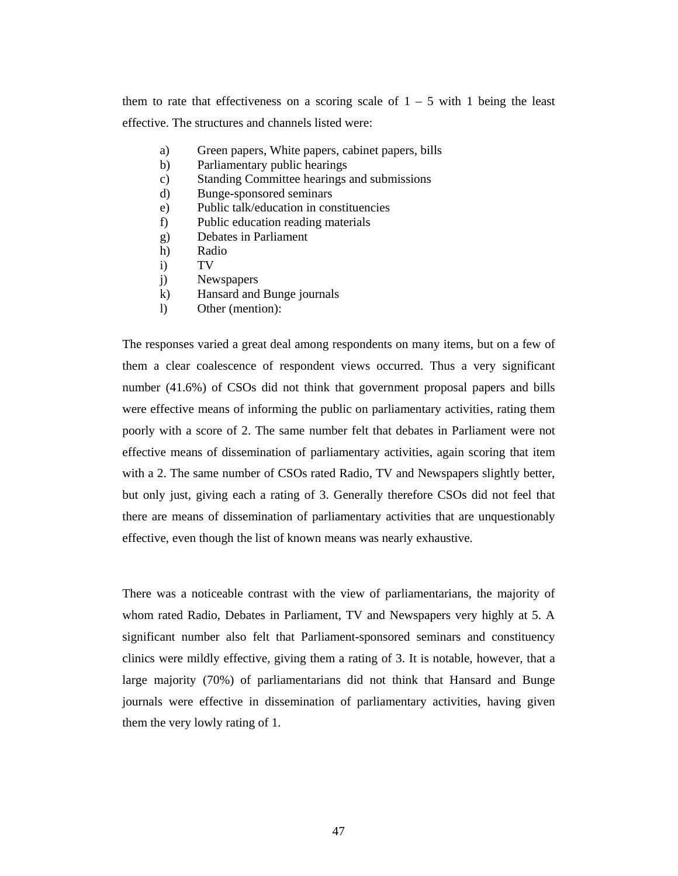them to rate that effectiveness on a scoring scale of  $1 - 5$  with 1 being the least effective. The structures and channels listed were:

- a) Green papers, White papers, cabinet papers, bills
- b) Parliamentary public hearings
- c) Standing Committee hearings and submissions
- d) Bunge-sponsored seminars
- e) Public talk/education in constituencies
- f) Public education reading materials
- g) Debates in Parliament
- h) Radio
- i) TV
- j) Newspapers
- k) Hansard and Bunge journals
- l) Other (mention):

The responses varied a great deal among respondents on many items, but on a few of them a clear coalescence of respondent views occurred. Thus a very significant number (41.6%) of CSOs did not think that government proposal papers and bills were effective means of informing the public on parliamentary activities, rating them poorly with a score of 2. The same number felt that debates in Parliament were not effective means of dissemination of parliamentary activities, again scoring that item with a 2. The same number of CSOs rated Radio, TV and Newspapers slightly better, but only just, giving each a rating of 3. Generally therefore CSOs did not feel that there are means of dissemination of parliamentary activities that are unquestionably effective, even though the list of known means was nearly exhaustive.

There was a noticeable contrast with the view of parliamentarians, the majority of whom rated Radio, Debates in Parliament, TV and Newspapers very highly at 5. A significant number also felt that Parliament-sponsored seminars and constituency clinics were mildly effective, giving them a rating of 3. It is notable, however, that a large majority (70%) of parliamentarians did not think that Hansard and Bunge journals were effective in dissemination of parliamentary activities, having given them the very lowly rating of 1.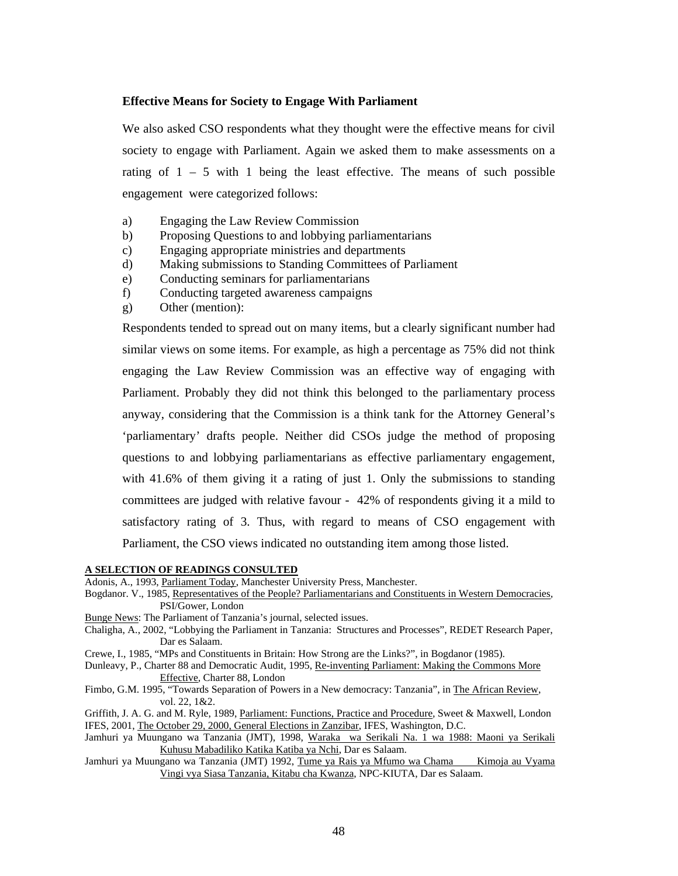#### **Effective Means for Society to Engage With Parliament**

We also asked CSO respondents what they thought were the effective means for civil society to engage with Parliament. Again we asked them to make assessments on a rating of  $1 - 5$  with 1 being the least effective. The means of such possible engagement were categorized follows:

- a) Engaging the Law Review Commission
- b) Proposing Questions to and lobbying parliamentarians
- c) Engaging appropriate ministries and departments
- d) Making submissions to Standing Committees of Parliament
- e) Conducting seminars for parliamentarians
- f) Conducting targeted awareness campaigns
- g) Other (mention):

Respondents tended to spread out on many items, but a clearly significant number had similar views on some items. For example, as high a percentage as 75% did not think engaging the Law Review Commission was an effective way of engaging with Parliament. Probably they did not think this belonged to the parliamentary process anyway, considering that the Commission is a think tank for the Attorney General's 'parliamentary' drafts people. Neither did CSOs judge the method of proposing questions to and lobbying parliamentarians as effective parliamentary engagement, with 41.6% of them giving it a rating of just 1. Only the submissions to standing committees are judged with relative favour - 42% of respondents giving it a mild to satisfactory rating of 3. Thus, with regard to means of CSO engagement with Parliament, the CSO views indicated no outstanding item among those listed.

#### **A SELECTION OF READINGS CONSULTED**

Adonis, A., 1993, Parliament Today, Manchester University Press, Manchester.

- Bogdanor. V., 1985, Representatives of the People? Parliamentarians and Constituents in Western Democracies*,* PSI/Gower, London
- Bunge News: The Parliament of Tanzania's journal, selected issues.
- Chaligha, A., 2002, "Lobbying the Parliament in Tanzania: Structures and Processes", REDET Research Paper, Dar es Salaam.
- Crewe, I., 1985, "MPs and Constituents in Britain: How Strong are the Links?", in Bogdanor (1985).
- Dunleavy, P., Charter 88 and Democratic Audit, 1995, Re-inventing Parliament: Making the Commons More Effective*,* Charter 88, London
- Fimbo, G.M. 1995, "Towards Separation of Powers in a New democracy: Tanzania", in The African Review, vol. 22, 1&2.
- Griffith, J. A. G. and M. Ryle, 1989, Parliament: Functions, Practice and Procedure*,* Sweet & Maxwell, London IFES, 2001, The October 29, 2000, General Elections in Zanzibar, IFES, Washington, D.C.
- Jamhuri ya Muungano wa Tanzania (JMT), 1998, Waraka wa Serikali Na. 1 wa 1988: Maoni ya Serikali Kuhusu Mabadiliko Katika Katiba ya Nchi, Dar es Salaam.
- Jamhuri ya Muungano wa Tanzania (JMT) 1992, Tume ya Rais ya Mfumo wa Chama Kimoja au Vyama Vingi vya Siasa Tanzania, Kitabu cha Kwanza, NPC-KIUTA, Dar es Salaam.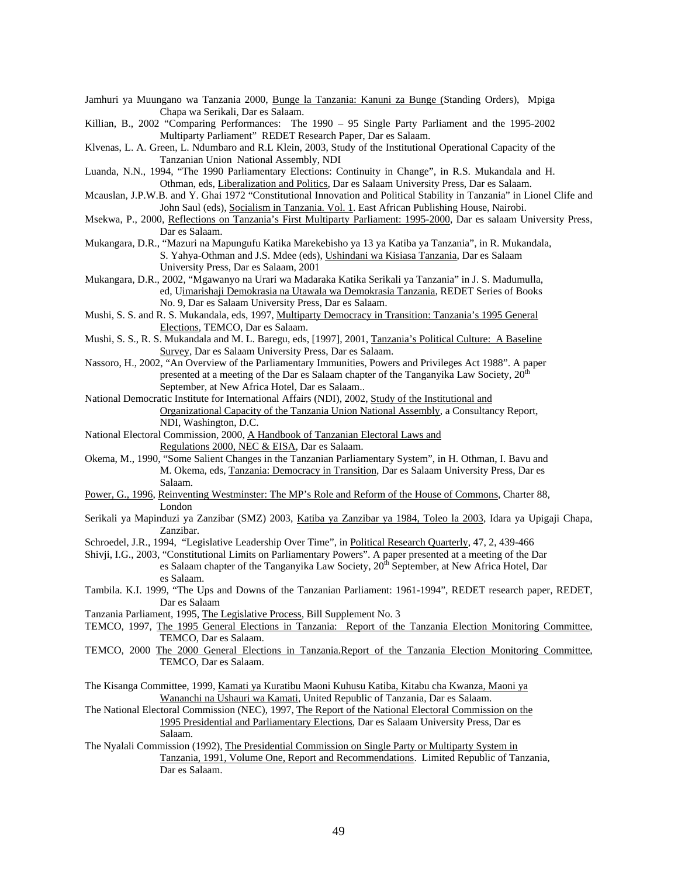Jamhuri ya Muungano wa Tanzania 2000, Bunge la Tanzania: Kanuni za Bunge (Standing Orders), Mpiga Chapa wa Serikali, Dar es Salaam.

Killian, B., 2002 "Comparing Performances: The 1990 – 95 Single Party Parliament and the 1995-2002 Multiparty Parliament" REDET Research Paper, Dar es Salaam.

- Klvenas, L. A. Green, L. Ndumbaro and R.L Klein, 2003, Study of the Institutional Operational Capacity of the Tanzanian Union National Assembly, NDI
- Luanda, N.N., 1994, "The 1990 Parliamentary Elections: Continuity in Change", in R.S. Mukandala and H. Othman, eds, Liberalization and Politics, Dar es Salaam University Press, Dar es Salaam.
- Mcauslan, J.P.W.B. and Y. Ghai 1972 "Constitutional Innovation and Political Stability in Tanzania" in Lionel Clife and John Saul (eds), Socialism in Tanzania. Vol. 1. East African Publishing House, Nairobi.
- Msekwa, P., 2000, Reflections on Tanzania's First Multiparty Parliament: 1995-2000, Dar es salaam University Press, Dar es Salaam.
- Mukangara, D.R., "Mazuri na Mapungufu Katika Marekebisho ya 13 ya Katiba ya Tanzania", in R. Mukandala, S. Yahya-Othman and J.S. Mdee (eds), Ushindani wa Kisiasa Tanzania, Dar es Salaam University Press, Dar es Salaam, 2001
- Mukangara, D.R., 2002, "Mgawanyo na Urari wa Madaraka Katika Serikali ya Tanzania" in J. S. Madumulla, ed, Uimarishaji Demokrasia na Utawala wa Demokrasia Tanzania, REDET Series of Books No. 9, Dar es Salaam University Press, Dar es Salaam.
- Mushi, S. S. and R. S. Mukandala, eds, 1997, Multiparty Democracy in Transition: Tanzania's 1995 General Elections, TEMCO, Dar es Salaam.
- Mushi, S. S., R. S. Mukandala and M. L. Baregu, eds, [1997], 2001, Tanzania's Political Culture: A Baseline Survey, Dar es Salaam University Press, Dar es Salaam.
- Nassoro, H., 2002, "An Overview of the Parliamentary Immunities, Powers and Privileges Act 1988". A paper presented at a meeting of the Dar es Salaam chapter of the Tanganyika Law Society, 20<sup>th</sup> September, at New Africa Hotel, Dar es Salaam..

National Democratic Institute for International Affairs (NDI), 2002, Study of the Institutional and Organizational Capacity of the Tanzania Union National Assembly, a Consultancy Report, NDI, Washington, D.C.

- National Electoral Commission, 2000, A Handbook of Tanzanian Electoral Laws and
- Regulations 2000, NEC & EISA, Dar es Salaam.
- Okema, M., 1990, "Some Salient Changes in the Tanzanian Parliamentary System", in H. Othman, I. Bavu and M. Okema, eds, Tanzania: Democracy in Transition, Dar es Salaam University Press, Dar es Salaam.
- Power, G., 1996, Reinventing Westminster: The MP's Role and Reform of the House of Commons, Charter 88, London
- Serikali ya Mapinduzi ya Zanzibar (SMZ) 2003, Katiba ya Zanzibar ya 1984, Toleo la 2003, Idara ya Upigaji Chapa, Zanzibar.
- Schroedel, J.R., 1994, "Legislative Leadership Over Time", in Political Research Quarterly, 47, 2, 439-466
- Shivji, I.G., 2003, "Constitutional Limits on Parliamentary Powers". A paper presented at a meeting of the Dar es Salaam chapter of the Tanganyika Law Society, 20<sup>th</sup> September, at New Africa Hotel, Dar es Salaam.
- Tambila. K.I. 1999, "The Ups and Downs of the Tanzanian Parliament: 1961-1994", REDET research paper, REDET, Dar es Salaam
- Tanzania Parliament, 1995, The Legislative Process, Bill Supplement No. 3
- TEMCO, 1997, The 1995 General Elections in Tanzania: Report of the Tanzania Election Monitoring Committee, TEMCO, Dar es Salaam.
- TEMCO, 2000 The 2000 General Elections in Tanzania.Report of the Tanzania Election Monitoring Committee, TEMCO, Dar es Salaam.
- The Kisanga Committee, 1999, Kamati ya Kuratibu Maoni Kuhusu Katiba, Kitabu cha Kwanza, Maoni ya Wananchi na Ushauri wa Kamati, United Republic of Tanzania, Dar es Salaam.
- The National Electoral Commission (NEC), 1997, The Report of the National Electoral Commission on the 1995 Presidential and Parliamentary Elections, Dar es Salaam University Press, Dar es Salaam.
- The Nyalali Commission (1992), The Presidential Commission on Single Party or Multiparty System in Tanzania, 1991, Volume One, Report and Recommendations. Limited Republic of Tanzania, Dar es Salaam.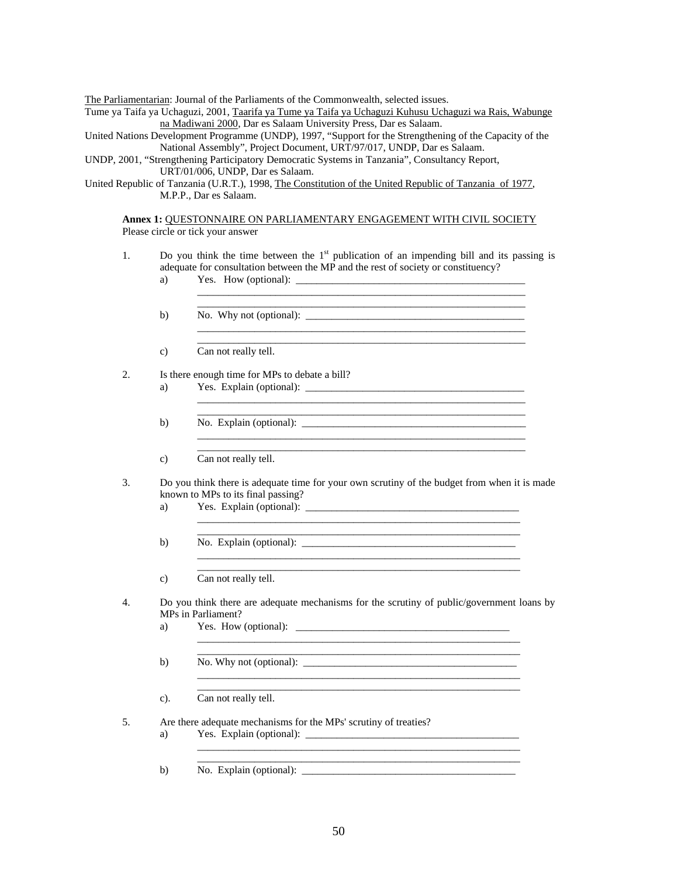The Parliamentarian: Journal of the Parliaments of the Commonwealth, selected issues.

- Tume ya Taifa ya Uchaguzi, 2001, Taarifa ya Tume ya Taifa ya Uchaguzi Kuhusu Uchaguzi wa Rais, Wabunge na Madiwani 2000, Dar es Salaam University Press, Dar es Salaam.
- United Nations Development Programme (UNDP), 1997, "Support for the Strengthening of the Capacity of the National Assembly", Project Document, URT/97/017, UNDP, Dar es Salaam.

UNDP, 2001, "Strengthening Participatory Democratic Systems in Tanzania", Consultancy Report, URT/01/006, UNDP, Dar es Salaam.

United Republic of Tanzania (U.R.T.), 1998, The Constitution of the United Republic of Tanzania of 1977, M.P.P., Dar es Salaam.

**Annex 1:** QUESTONNAIRE ON PARLIAMENTARY ENGAGEMENT WITH CIVIL SOCIETY Please circle or tick your answer

- 1. Do you think the time between the  $1<sup>st</sup>$  publication of an impending bill and its passing is adequate for consultation between the MP and the rest of society or constituency?
- a) Yes. How (optional):  $\mathcal{L}_\text{max} = \frac{1}{2} \sum_{i=1}^{n} \frac{1}{2} \sum_{i=1}^{n} \frac{1}{2} \sum_{i=1}^{n} \frac{1}{2} \sum_{i=1}^{n} \frac{1}{2} \sum_{i=1}^{n} \frac{1}{2} \sum_{i=1}^{n} \frac{1}{2} \sum_{i=1}^{n} \frac{1}{2} \sum_{i=1}^{n} \frac{1}{2} \sum_{i=1}^{n} \frac{1}{2} \sum_{i=1}^{n} \frac{1}{2} \sum_{i=1}^{n} \frac{1}{2} \sum_{i=1}^{n} \frac{1$
- b) No. Why not (optional):  $\frac{1}{\sqrt{2}}$  No. Why not (optional):  $\frac{1}{\sqrt{2}}$  $\frac{1}{2}$  ,  $\frac{1}{2}$  ,  $\frac{1}{2}$  ,  $\frac{1}{2}$  ,  $\frac{1}{2}$  ,  $\frac{1}{2}$  ,  $\frac{1}{2}$  ,  $\frac{1}{2}$  ,  $\frac{1}{2}$  ,  $\frac{1}{2}$  ,  $\frac{1}{2}$  ,  $\frac{1}{2}$  ,  $\frac{1}{2}$  ,  $\frac{1}{2}$  ,  $\frac{1}{2}$  ,  $\frac{1}{2}$  ,  $\frac{1}{2}$  ,  $\frac{1}{2}$  ,  $\frac{1$
- $\frac{1}{2}$  ,  $\frac{1}{2}$  ,  $\frac{1}{2}$  ,  $\frac{1}{2}$  ,  $\frac{1}{2}$  ,  $\frac{1}{2}$  ,  $\frac{1}{2}$  ,  $\frac{1}{2}$  ,  $\frac{1}{2}$  ,  $\frac{1}{2}$  ,  $\frac{1}{2}$  ,  $\frac{1}{2}$  ,  $\frac{1}{2}$  ,  $\frac{1}{2}$  ,  $\frac{1}{2}$  ,  $\frac{1}{2}$  ,  $\frac{1}{2}$  ,  $\frac{1}{2}$  ,  $\frac{1$ c) Can not really tell.
- 2. Is there enough time for MPs to debate a bill?
- a) Yes. Explain (optional): \_\_\_\_\_\_\_\_\_\_\_\_\_\_\_\_\_\_\_\_\_\_\_\_\_\_\_\_\_\_\_\_\_\_\_\_\_\_\_\_\_\_  $\frac{1}{2}$  ,  $\frac{1}{2}$  ,  $\frac{1}{2}$  ,  $\frac{1}{2}$  ,  $\frac{1}{2}$  ,  $\frac{1}{2}$  ,  $\frac{1}{2}$  ,  $\frac{1}{2}$  ,  $\frac{1}{2}$  ,  $\frac{1}{2}$  ,  $\frac{1}{2}$  ,  $\frac{1}{2}$  ,  $\frac{1}{2}$  ,  $\frac{1}{2}$  ,  $\frac{1}{2}$  ,  $\frac{1}{2}$  ,  $\frac{1}{2}$  ,  $\frac{1}{2}$  ,  $\frac{1$
- $\frac{1}{2}$  ,  $\frac{1}{2}$  ,  $\frac{1}{2}$  ,  $\frac{1}{2}$  ,  $\frac{1}{2}$  ,  $\frac{1}{2}$  ,  $\frac{1}{2}$  ,  $\frac{1}{2}$  ,  $\frac{1}{2}$  ,  $\frac{1}{2}$  ,  $\frac{1}{2}$  ,  $\frac{1}{2}$  ,  $\frac{1}{2}$  ,  $\frac{1}{2}$  ,  $\frac{1}{2}$  ,  $\frac{1}{2}$  ,  $\frac{1}{2}$  ,  $\frac{1}{2}$  ,  $\frac{1$  b) No. Explain (optional): \_\_\_\_\_\_\_\_\_\_\_\_\_\_\_\_\_\_\_\_\_\_\_\_\_\_\_\_\_\_\_\_\_\_\_\_\_\_\_\_\_\_\_  $\frac{1}{2}$  ,  $\frac{1}{2}$  ,  $\frac{1}{2}$  ,  $\frac{1}{2}$  ,  $\frac{1}{2}$  ,  $\frac{1}{2}$  ,  $\frac{1}{2}$  ,  $\frac{1}{2}$  ,  $\frac{1}{2}$  ,  $\frac{1}{2}$  ,  $\frac{1}{2}$  ,  $\frac{1}{2}$  ,  $\frac{1}{2}$  ,  $\frac{1}{2}$  ,  $\frac{1}{2}$  ,  $\frac{1}{2}$  ,  $\frac{1}{2}$  ,  $\frac{1}{2}$  ,  $\frac{1$ 
	- c) Can not really tell.
- 3. Do you think there is adequate time for your own scrutiny of the budget from when it is made known to MPs to its final passing?
- a) Yes. Explain (optional):  $\mathcal{L}_\text{max} = \frac{1}{2} \sum_{i=1}^{n} \frac{1}{2} \sum_{i=1}^{n} \frac{1}{2} \sum_{i=1}^{n} \frac{1}{2} \sum_{i=1}^{n} \frac{1}{2} \sum_{i=1}^{n} \frac{1}{2} \sum_{i=1}^{n} \frac{1}{2} \sum_{i=1}^{n} \frac{1}{2} \sum_{i=1}^{n} \frac{1}{2} \sum_{i=1}^{n} \frac{1}{2} \sum_{i=1}^{n} \frac{1}{2} \sum_{i=1}^{n} \frac{1}{2} \sum_{i=1}^{n} \frac{1$

 $\mathcal{L}_\text{max} = \frac{1}{2} \sum_{i=1}^{n} \frac{1}{2} \sum_{i=1}^{n} \frac{1}{2} \sum_{i=1}^{n} \frac{1}{2} \sum_{i=1}^{n} \frac{1}{2} \sum_{i=1}^{n} \frac{1}{2} \sum_{i=1}^{n} \frac{1}{2} \sum_{i=1}^{n} \frac{1}{2} \sum_{i=1}^{n} \frac{1}{2} \sum_{i=1}^{n} \frac{1}{2} \sum_{i=1}^{n} \frac{1}{2} \sum_{i=1}^{n} \frac{1}{2} \sum_{i=1}^{n} \frac{1$ 

 $\mathcal{L}_\text{max} = \frac{1}{2} \sum_{i=1}^{n} \frac{1}{2} \sum_{i=1}^{n} \frac{1}{2} \sum_{i=1}^{n} \frac{1}{2} \sum_{i=1}^{n} \frac{1}{2} \sum_{i=1}^{n} \frac{1}{2} \sum_{i=1}^{n} \frac{1}{2} \sum_{i=1}^{n} \frac{1}{2} \sum_{i=1}^{n} \frac{1}{2} \sum_{i=1}^{n} \frac{1}{2} \sum_{i=1}^{n} \frac{1}{2} \sum_{i=1}^{n} \frac{1}{2} \sum_{i=1}^{n} \frac{1$ 

 $\mathcal{L}_\text{max} = \frac{1}{2} \sum_{i=1}^{n} \frac{1}{2} \sum_{i=1}^{n} \frac{1}{2} \sum_{i=1}^{n} \frac{1}{2} \sum_{i=1}^{n} \frac{1}{2} \sum_{i=1}^{n} \frac{1}{2} \sum_{i=1}^{n} \frac{1}{2} \sum_{i=1}^{n} \frac{1}{2} \sum_{i=1}^{n} \frac{1}{2} \sum_{i=1}^{n} \frac{1}{2} \sum_{i=1}^{n} \frac{1}{2} \sum_{i=1}^{n} \frac{1}{2} \sum_{i=1}^{n} \frac{1$ 

- b) No. Explain (optional): \_\_\_\_\_\_\_\_\_\_\_\_\_\_\_\_\_\_\_\_\_\_\_\_\_\_\_\_\_\_\_\_\_\_\_\_\_\_\_\_\_  $\mathcal{L}_\text{max} = \frac{1}{2} \sum_{i=1}^{n} \frac{1}{2} \sum_{i=1}^{n} \frac{1}{2} \sum_{i=1}^{n} \frac{1}{2} \sum_{i=1}^{n} \frac{1}{2} \sum_{i=1}^{n} \frac{1}{2} \sum_{i=1}^{n} \frac{1}{2} \sum_{i=1}^{n} \frac{1}{2} \sum_{i=1}^{n} \frac{1}{2} \sum_{i=1}^{n} \frac{1}{2} \sum_{i=1}^{n} \frac{1}{2} \sum_{i=1}^{n} \frac{1}{2} \sum_{i=1}^{n} \frac{1$
- $\mathcal{L}_\text{max} = \frac{1}{2} \sum_{i=1}^{n} \frac{1}{2} \sum_{i=1}^{n} \frac{1}{2} \sum_{i=1}^{n} \frac{1}{2} \sum_{i=1}^{n} \frac{1}{2} \sum_{i=1}^{n} \frac{1}{2} \sum_{i=1}^{n} \frac{1}{2} \sum_{i=1}^{n} \frac{1}{2} \sum_{i=1}^{n} \frac{1}{2} \sum_{i=1}^{n} \frac{1}{2} \sum_{i=1}^{n} \frac{1}{2} \sum_{i=1}^{n} \frac{1}{2} \sum_{i=1}^{n} \frac{1$ c) Can not really tell.
- 4. Do you think there are adequate mechanisms for the scrutiny of public/government loans by MPs in Parliament?

\_\_\_\_\_\_\_\_\_\_\_\_\_\_\_\_\_\_\_\_\_\_\_\_\_\_\_\_\_\_\_\_\_\_\_\_\_\_\_\_\_\_\_\_\_\_\_\_\_\_\_\_\_\_\_\_\_\_\_\_\_\_

- a) Yes. How (optional): \_\_\_\_\_\_\_\_\_\_\_\_\_\_\_\_\_\_\_\_\_\_\_\_\_\_\_\_\_\_\_\_\_\_\_\_\_\_\_\_\_
- b) No. Why not (optional):  $\Box$
- c). Can not really tell.
- 5. Are there adequate mechanisms for the MPs' scrutiny of treaties?
	- a) Yes. Explain (optional): \_\_\_\_\_\_\_\_\_\_\_\_\_\_\_\_\_\_\_\_\_\_\_\_\_\_\_\_\_\_\_\_\_\_\_\_\_\_\_\_\_
	- b) No. Explain (optional): \_\_\_\_\_\_\_\_\_\_\_\_\_\_\_\_\_\_\_\_\_\_\_\_\_\_\_\_\_\_\_\_\_\_\_\_\_\_\_\_\_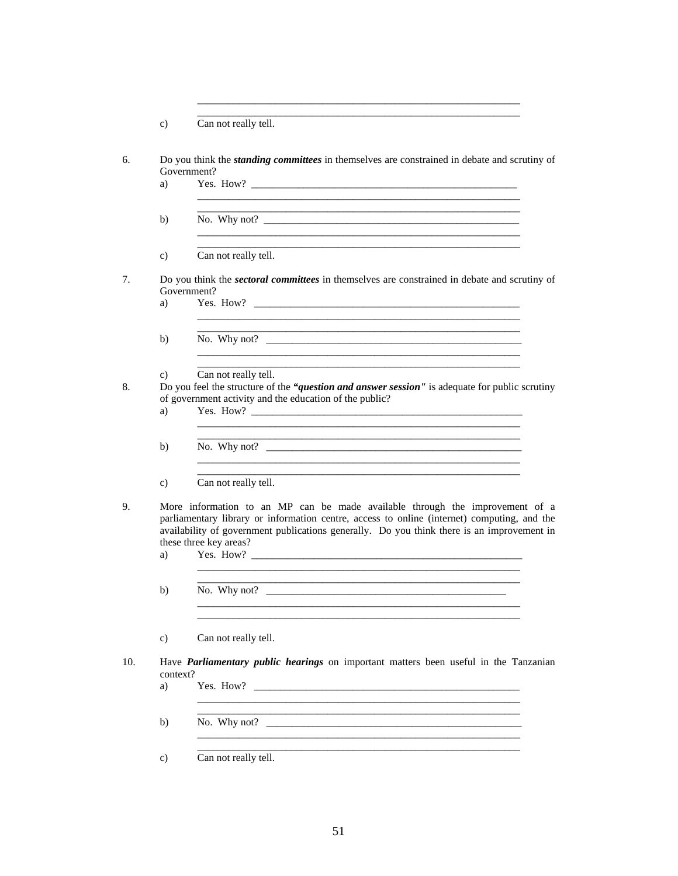|     | $\mathbf{c})$  | Can not really tell.                                                                                                                                                                                                                                                                                |
|-----|----------------|-----------------------------------------------------------------------------------------------------------------------------------------------------------------------------------------------------------------------------------------------------------------------------------------------------|
| 6.  | a)             | Do you think the <i>standing committees</i> in themselves are constrained in debate and scrutiny of<br>Government?                                                                                                                                                                                  |
|     | b)             |                                                                                                                                                                                                                                                                                                     |
|     | $\mathbf{c})$  | Can not really tell.                                                                                                                                                                                                                                                                                |
| 7.  | a)             | Do you think the <i>sectoral committees</i> in themselves are constrained in debate and scrutiny of<br>Government?                                                                                                                                                                                  |
|     | b)             | and the control of the control of the control of the control of the control of the control of the control of the                                                                                                                                                                                    |
| 8.  | C)<br>a)       | Can not really tell.<br>Do you feel the structure of the "question and answer session" is adequate for public scrutiny<br>of government activity and the education of the public?                                                                                                                   |
|     | b)             | No. Why not? $\qquad \qquad$                                                                                                                                                                                                                                                                        |
|     | $\mathbf{c}$   | Can not really tell.                                                                                                                                                                                                                                                                                |
| 9.  | a)             | More information to an MP can be made available through the improvement of a<br>parliamentary library or information centre, access to online (internet) computing, and the<br>availability of government publications generally. Do you think there is an improvement in<br>these three key areas? |
|     | b)             |                                                                                                                                                                                                                                                                                                     |
|     | $\mathbf{c})$  | Can not really tell.                                                                                                                                                                                                                                                                                |
| 10. | context?<br>a) | Have <b>Parliamentary public hearings</b> on important matters been useful in the Tanzanian                                                                                                                                                                                                         |
|     | b)             |                                                                                                                                                                                                                                                                                                     |
|     | $\mathbf{c})$  | Can not really tell.                                                                                                                                                                                                                                                                                |